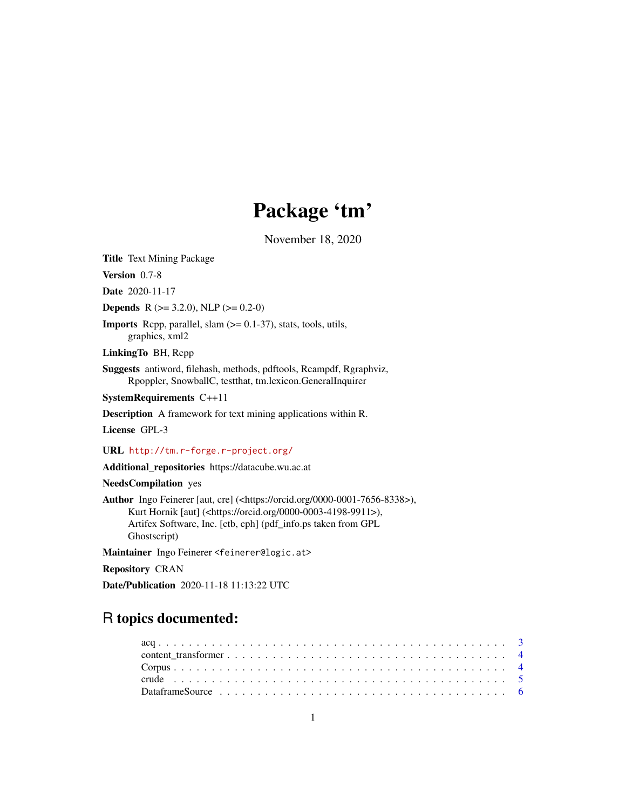# Package 'tm'

November 18, 2020

<span id="page-0-0"></span>Title Text Mining Package

Version 0.7-8

Date 2020-11-17

**Depends** R ( $>= 3.2.0$ ), NLP ( $>= 0.2-0$ )

**Imports** Repp, parallel, slam  $(>= 0.1-37)$ , stats, tools, utils, graphics, xml2

LinkingTo BH, Rcpp

Suggests antiword, filehash, methods, pdftools, Rcampdf, Rgraphviz, Rpoppler, SnowballC, testthat, tm.lexicon.GeneralInquirer

SystemRequirements C++11

Description A framework for text mining applications within R.

License GPL-3

URL <http://tm.r-forge.r-project.org/>

Additional\_repositories https://datacube.wu.ac.at

NeedsCompilation yes

Author Ingo Feinerer [aut, cre] (<https://orcid.org/0000-0001-7656-8338>), Kurt Hornik [aut] (<https://orcid.org/0000-0003-4198-9911>), Artifex Software, Inc. [ctb, cph] (pdf\_info.ps taken from GPL Ghostscript)

Maintainer Ingo Feinerer <feinerer@logic.at>

Repository CRAN

Date/Publication 2020-11-18 11:13:22 UTC

## R topics documented:

| Data frame Source $\ldots \ldots \ldots \ldots \ldots \ldots \ldots \ldots \ldots \ldots \ldots \ldots \ldots$ |  |  |  |  |  |  |  |  |  |  |  |  |  |  |  |  |  |  |  |  |
|----------------------------------------------------------------------------------------------------------------|--|--|--|--|--|--|--|--|--|--|--|--|--|--|--|--|--|--|--|--|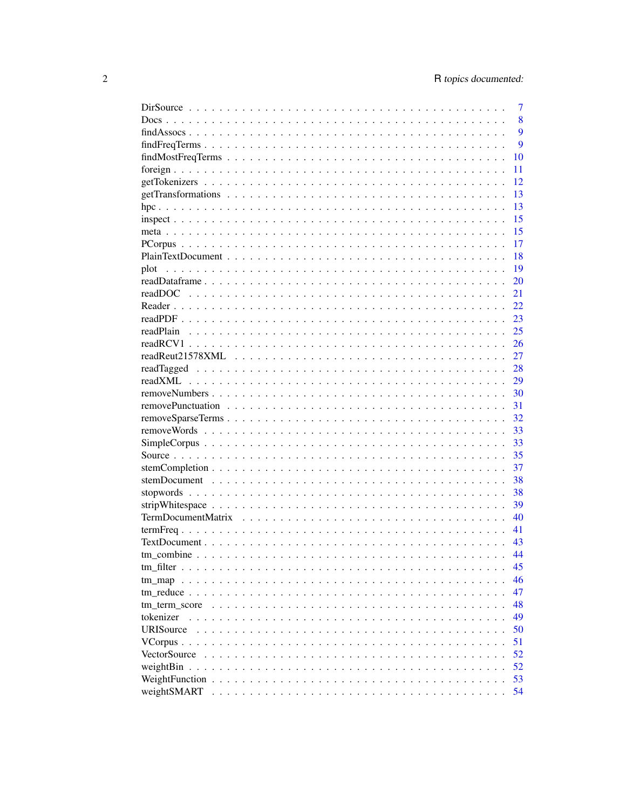|                   | $\overline{7}$ |
|-------------------|----------------|
|                   | 8              |
|                   | 9              |
|                   | 9              |
|                   | 10             |
|                   | 11             |
|                   | 12             |
|                   | 13             |
|                   | 13             |
|                   | 15             |
|                   | 15             |
|                   | 17             |
|                   | 18             |
|                   |                |
| plot              | 19             |
|                   | 20             |
|                   | 21             |
|                   | 22             |
|                   | 23             |
|                   | 25             |
|                   | 26             |
|                   | 27             |
|                   | 28             |
|                   | 29             |
|                   | 30             |
|                   | 31             |
|                   | 32             |
|                   | 33             |
|                   | 33             |
|                   | 35             |
|                   | 37             |
|                   | 38             |
|                   | 38             |
|                   | 39             |
|                   | 40             |
|                   |                |
|                   | 41             |
|                   | 43             |
|                   | 44             |
|                   | 45             |
| $tm$ map $\ldots$ | 46             |
|                   | 47             |
| tm term score     | 48             |
| tokenizer         | 49             |
| URISource         | 50             |
| VCorpus           | 51             |
| VectorSource      | 52             |
| weightBin         | 52             |
|                   | 53             |
| weightSMART       | 54             |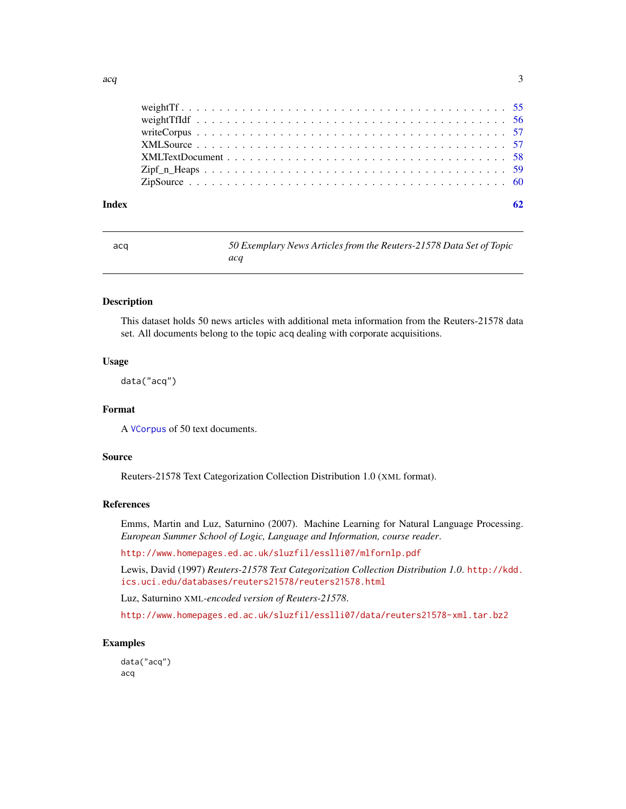<span id="page-2-0"></span>

#### $\blacksquare$  Index  $\blacksquare$

| ٠<br>×<br>×<br>$\sim$ | ٠<br>×<br>۰.<br>M.<br>۰. | ۰.<br>I<br>× |
|-----------------------|--------------------------|--------------|
|                       |                          |              |

acq *50 Exemplary News Articles from the Reuters-21578 Data Set of Topic acq*

#### **Description**

This dataset holds 50 news articles with additional meta information from the Reuters-21578 data set. All documents belong to the topic acq dealing with corporate acquisitions.

#### Usage

data("acq")

### Format

A [VCorpus](#page-50-1) of 50 text documents.

### Source

Reuters-21578 Text Categorization Collection Distribution 1.0 (XML format).

### References

Emms, Martin and Luz, Saturnino (2007). Machine Learning for Natural Language Processing. *European Summer School of Logic, Language and Information, course reader*.

<http://www.homepages.ed.ac.uk/sluzfil/esslli07/mlfornlp.pdf>

Lewis, David (1997) *Reuters-21578 Text Categorization Collection Distribution 1.0*. [http://kdd.](http://kdd.ics.uci.edu/databases/reuters21578/reuters21578.html) [ics.uci.edu/databases/reuters21578/reuters21578.html](http://kdd.ics.uci.edu/databases/reuters21578/reuters21578.html)

Luz, Saturnino XML*-encoded version of Reuters-21578*.

<http://www.homepages.ed.ac.uk/sluzfil/esslli07/data/reuters21578-xml.tar.bz2>

#### Examples

data("acq") acq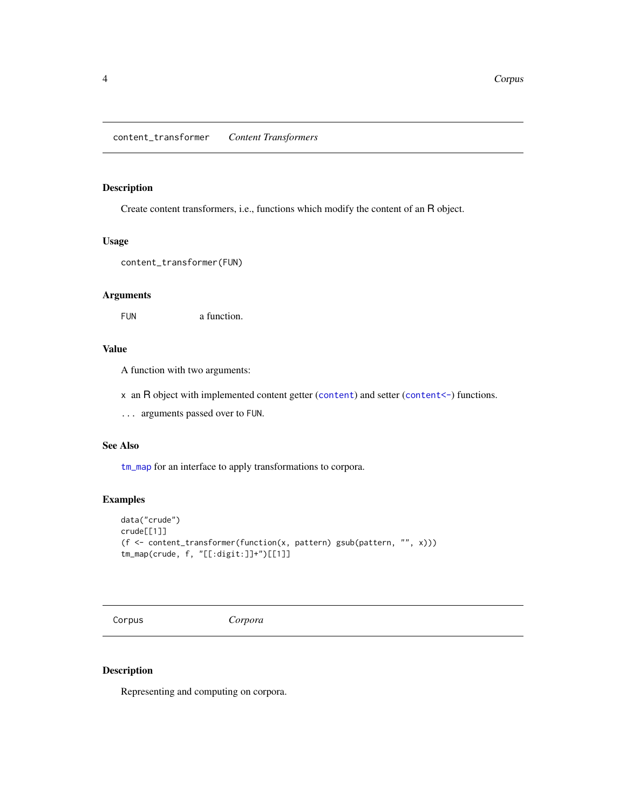### <span id="page-3-1"></span><span id="page-3-0"></span>Description

Create content transformers, i.e., functions which modify the content of an R object.

### Usage

```
content_transformer(FUN)
```
### Arguments

FUN a function.

### Value

A function with two arguments:

x an R object with implemented [content](#page-0-0) getter (content) and setter ([content<-](#page-0-0)) functions.

... arguments passed over to FUN.

### See Also

[tm\\_map](#page-45-1) for an interface to apply transformations to corpora.

### Examples

```
data("crude")
crude[[1]]
(f <- content_transformer(function(x, pattern) gsub(pattern, "", x)))
tm_map(crude, f, "[[:digit:]]+")[[1]]
```
<span id="page-3-2"></span>Corpus *Corpora*

#### Description

Representing and computing on corpora.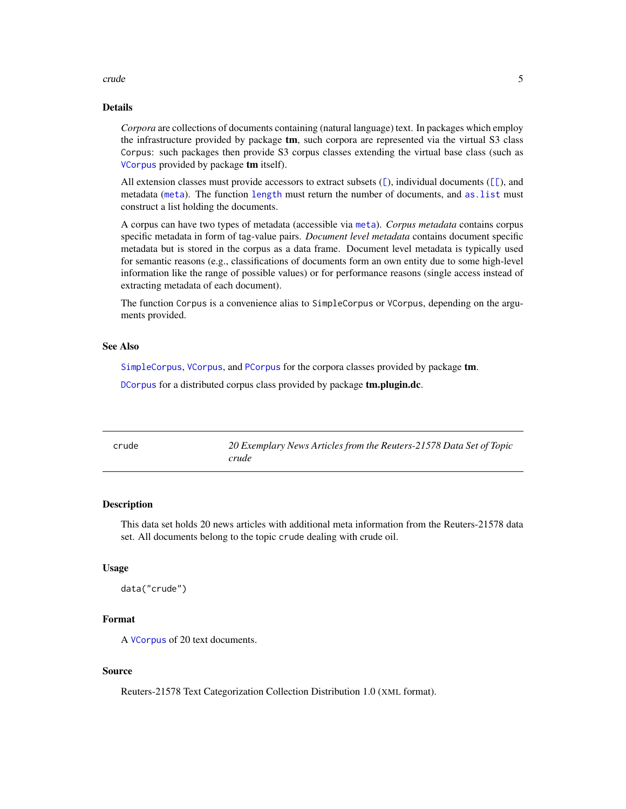#### <span id="page-4-0"></span>crude 5

### Details

*Corpora* are collections of documents containing (natural language) text. In packages which employ the infrastructure provided by package tm, such corpora are represented via the virtual S3 class Corpus: such packages then provide S3 corpus classes extending the virtual base class (such as [VCorpus](#page-50-1) provided by package tm itself).

All extension classes must provide accessors to extract subsets  $(\lceil)$ , individual documents  $(\lceil \lceil)$ , and metadata ([meta](#page-14-1)). The function [length](#page-0-0) must return the number of documents, and [as.list](#page-0-0) must construct a list holding the documents.

A corpus can have two types of metadata (accessible via [meta](#page-14-1)). *Corpus metadata* contains corpus specific metadata in form of tag-value pairs. *Document level metadata* contains document specific metadata but is stored in the corpus as a data frame. Document level metadata is typically used for semantic reasons (e.g., classifications of documents form an own entity due to some high-level information like the range of possible values) or for performance reasons (single access instead of extracting metadata of each document).

The function Corpus is a convenience alias to SimpleCorpus or VCorpus, depending on the arguments provided.

#### See Also

[SimpleCorpus](#page-32-1), [VCorpus](#page-50-1), and [PCorpus](#page-16-1) for the corpora classes provided by package tm.

[DCorpus](#page-0-0) for a distributed corpus class provided by package **tm.plugin.dc**.

| crude | 20 Exemplary News Articles from the Reuters-21578 Data Set of Topic<br>crude |
|-------|------------------------------------------------------------------------------|
|       |                                                                              |

#### **Description**

This data set holds 20 news articles with additional meta information from the Reuters-21578 data set. All documents belong to the topic crude dealing with crude oil.

#### Usage

data("crude")

#### Format

A [VCorpus](#page-50-1) of 20 text documents.

### Source

Reuters-21578 Text Categorization Collection Distribution 1.0 (XML format).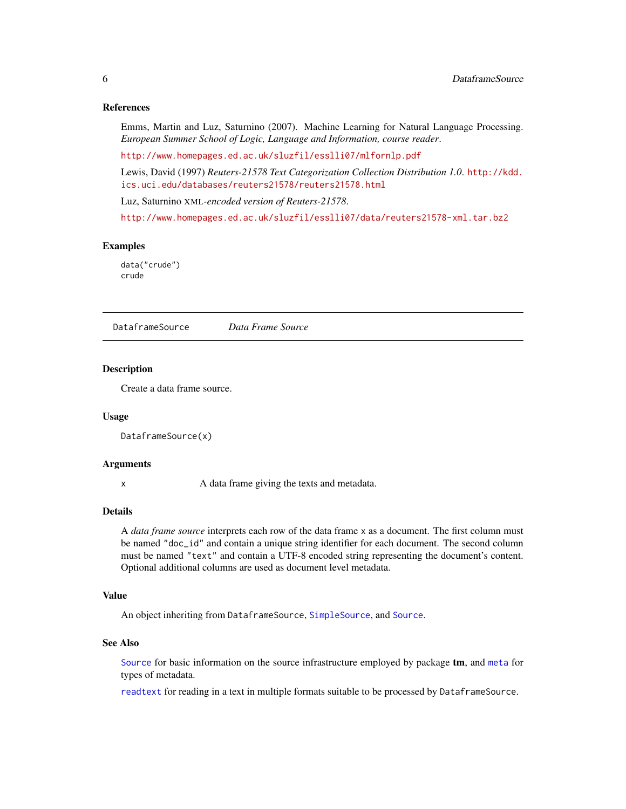#### <span id="page-5-0"></span>References

Emms, Martin and Luz, Saturnino (2007). Machine Learning for Natural Language Processing. *European Summer School of Logic, Language and Information, course reader*.

<http://www.homepages.ed.ac.uk/sluzfil/esslli07/mlfornlp.pdf>

Lewis, David (1997) *Reuters-21578 Text Categorization Collection Distribution 1.0*. [http://kdd.](http://kdd.ics.uci.edu/databases/reuters21578/reuters21578.html) [ics.uci.edu/databases/reuters21578/reuters21578.html](http://kdd.ics.uci.edu/databases/reuters21578/reuters21578.html)

Luz, Saturnino XML*-encoded version of Reuters-21578*.

<http://www.homepages.ed.ac.uk/sluzfil/esslli07/data/reuters21578-xml.tar.bz2>

#### Examples

data("crude") crude

<span id="page-5-1"></span>DataframeSource *Data Frame Source*

#### Description

Create a data frame source.

#### Usage

```
DataframeSource(x)
```
#### Arguments

x A data frame giving the texts and metadata.

#### Details

A *data frame source* interprets each row of the data frame x as a document. The first column must be named "doc\_id" and contain a unique string identifier for each document. The second column must be named "text" and contain a UTF-8 encoded string representing the document's content. Optional additional columns are used as document level metadata.

#### Value

An object inheriting from DataframeSource, [SimpleSource](#page-34-1), and [Source](#page-34-2).

#### See Also

[Source](#page-34-2) for basic information on the source infrastructure employed by package **tm**, and [meta](#page-14-1) for types of metadata.

[readtext](#page-0-0) for reading in a text in multiple formats suitable to be processed by DataframeSource.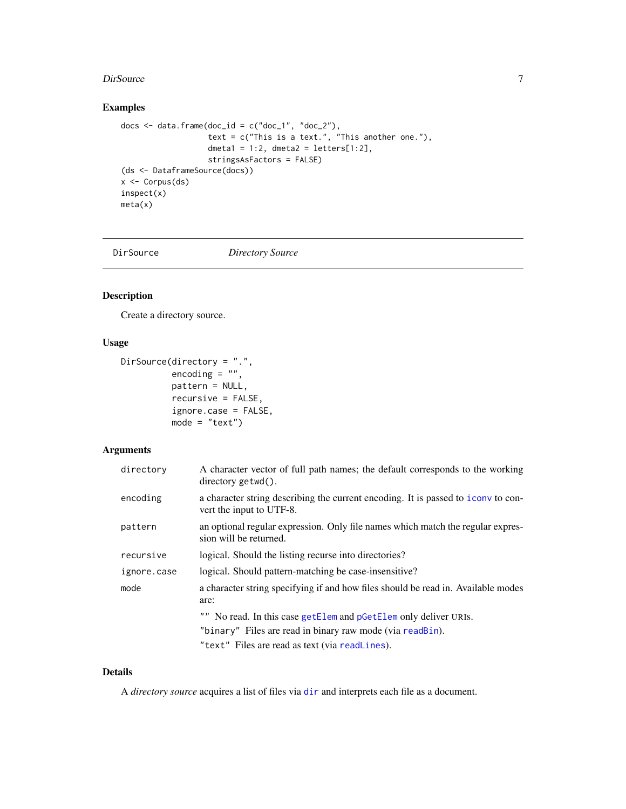#### <span id="page-6-0"></span>DirSource 2012 2013 2014 2022 2023 2024 2022 2022 2023 2024 2022 2023 2024 2022 2023 2024 2022 2023 2024 2022 2023 2024 2022 2023 2024 2022 2023 2024 2022 2023 2024 2022 2023 2024 2022 2023 2024 2022 2023 2024 2022 2023 20

### Examples

```
docs \leq data.frame(doc_id = c("doc_1", "doc_2"),
                  text = c("This is a text." This another one."),
                   dmeta1 = 1:2, dmeta2 = letters[1:2],
                  stringsAsFactors = FALSE)
(ds <- DataframeSource(docs))
x <- Corpus(ds)
inspect(x)
meta(x)
```
<span id="page-6-1"></span>

DirSource *Directory Source*

### Description

Create a directory source.

### Usage

```
DirSource(directory = ".",
          encoding = "",
          pattern = NULL,
          recursive = FALSE,
          ignore.case = FALSE,
          mode = "text")
```
### Arguments

| directory   | A character vector of full path names; the default corresponds to the working<br>$directory$ $getwd()$ .      |
|-------------|---------------------------------------------------------------------------------------------------------------|
| encoding    | a character string describing the current encoding. It is passed to iconv to con-<br>vert the input to UTF-8. |
| pattern     | an optional regular expression. Only file names which match the regular expres-<br>sion will be returned.     |
| recursive   | logical. Should the listing recurse into directories?                                                         |
| ignore.case | logical. Should pattern-matching be case-insensitive?                                                         |
| mode        | a character string specifying if and how files should be read in. Available modes<br>are:                     |
|             | "" No read. In this case getElem and pGetElem only deliver URIS.                                              |
|             | "binary" Files are read in binary raw mode (via readBin).                                                     |
|             | "text" Files are read as text (via readLines).                                                                |

### Details

A *directory source* acquires a list of files via [dir](#page-0-0) and interprets each file as a document.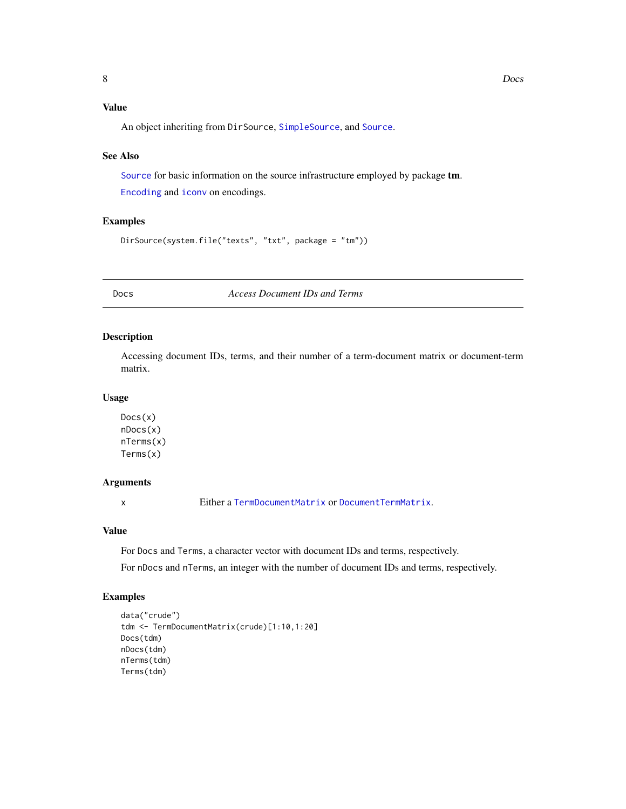### <span id="page-7-0"></span>Value

An object inheriting from DirSource, [SimpleSource](#page-34-1), and [Source](#page-34-2).

#### See Also

[Source](#page-34-2) for basic information on the source infrastructure employed by package tm.

[Encoding](#page-0-0) and [iconv](#page-0-0) on encodings.

#### Examples

```
DirSource(system.file("texts", "txt", package = "tm"))
```
Docs *Access Document IDs and Terms*

### Description

Accessing document IDs, terms, and their number of a term-document matrix or document-term matrix.

### Usage

Docs(x) nDocs(x) nTerms(x) Terms(x)

### Arguments

x Either a [TermDocumentMatrix](#page-39-1) or [DocumentTermMatrix](#page-39-2).

#### Value

For Docs and Terms, a character vector with document IDs and terms, respectively.

For nDocs and nTerms, an integer with the number of document IDs and terms, respectively.

```
data("crude")
tdm <- TermDocumentMatrix(crude)[1:10,1:20]
Docs(tdm)
nDocs(tdm)
nTerms(tdm)
Terms(tdm)
```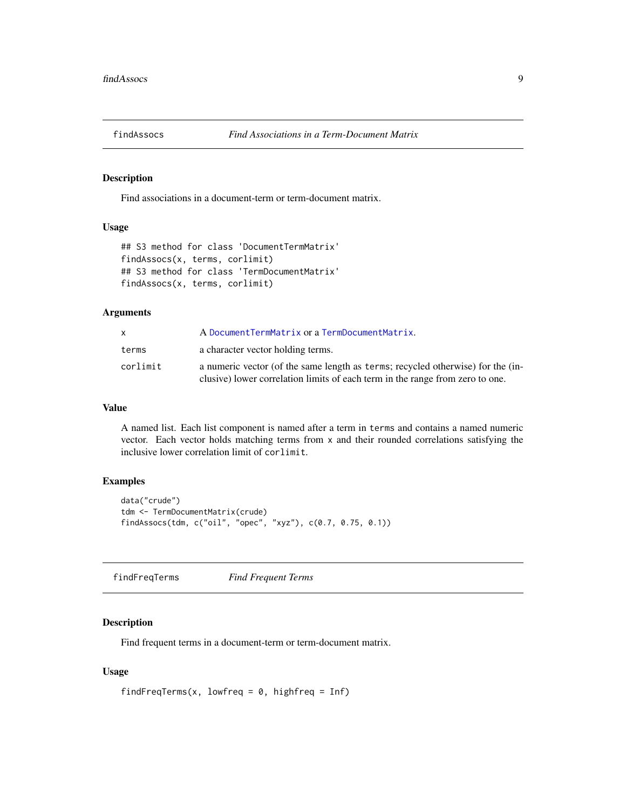<span id="page-8-0"></span>

#### Description

Find associations in a document-term or term-document matrix.

### Usage

```
## S3 method for class 'DocumentTermMatrix'
findAssocs(x, terms, corlimit)
## S3 method for class 'TermDocumentMatrix'
findAssocs(x, terms, corlimit)
```
#### Arguments

| X        | A Document TermMatrix or a TermDocument Matrix.                                                                                                                  |
|----------|------------------------------------------------------------------------------------------------------------------------------------------------------------------|
| terms    | a character vector holding terms.                                                                                                                                |
| corlimit | a numeric vector (of the same length as terms; recycled otherwise) for the (in-<br>clusive) lower correlation limits of each term in the range from zero to one. |

### Value

A named list. Each list component is named after a term in terms and contains a named numeric vector. Each vector holds matching terms from  $x$  and their rounded correlations satisfying the inclusive lower correlation limit of corlimit.

### Examples

```
data("crude")
tdm <- TermDocumentMatrix(crude)
findAssocs(tdm, c("oil", "opec", "xyz"), c(0.7, 0.75, 0.1))
```
findFreqTerms *Find Frequent Terms*

### Description

Find frequent terms in a document-term or term-document matrix.

#### Usage

```
findFreqTerms(x, lowfreq = 0, highfreq = Inf)
```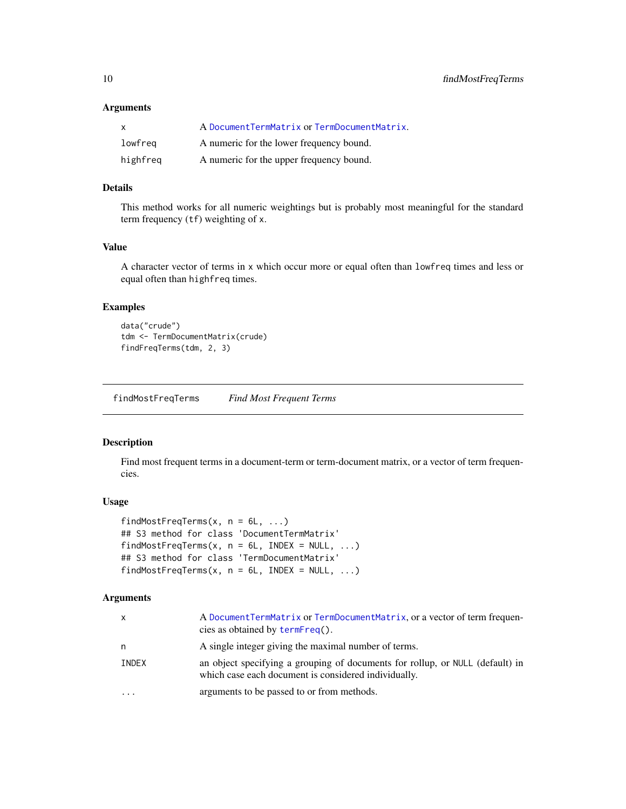#### <span id="page-9-0"></span>Arguments

| $\mathsf{x}$ | A DocumentTermMatrix or TermDocumentMatrix. |
|--------------|---------------------------------------------|
| lowfreg      | A numeric for the lower frequency bound.    |
| highfreq     | A numeric for the upper frequency bound.    |

#### Details

This method works for all numeric weightings but is probably most meaningful for the standard term frequency (tf) weighting of x.

### Value

A character vector of terms in x which occur more or equal often than lowfreq times and less or equal often than highfreq times.

#### Examples

```
data("crude")
tdm <- TermDocumentMatrix(crude)
findFreqTerms(tdm, 2, 3)
```
findMostFreqTerms *Find Most Frequent Terms*

#### Description

Find most frequent terms in a document-term or term-document matrix, or a vector of term frequencies.

#### Usage

```
findMostFreqTerms(x, n = 6L, ...)
## S3 method for class 'DocumentTermMatrix'
findMostFreqTerms(x, n = 6L, INDEX = NULL, ...)
## S3 method for class 'TermDocumentMatrix'
findMostFreqTerms(x, n = 6L, INDEX = NULL, ...)
```

| $\mathsf{x}$ | A Document TermMatrix or TermDocument Matrix, or a vector of term frequen-<br>cies as obtained by termFreq().                         |
|--------------|---------------------------------------------------------------------------------------------------------------------------------------|
| n            | A single integer giving the maximal number of terms.                                                                                  |
| INDEX        | an object specifying a grouping of documents for rollup, or NULL (default) in<br>which case each document is considered individually. |
| $\ddotsc$    | arguments to be passed to or from methods.                                                                                            |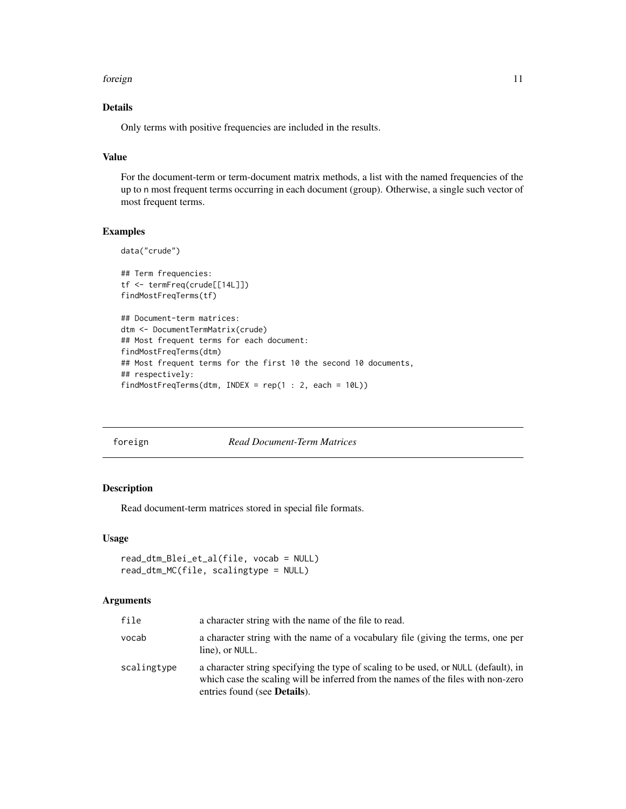#### <span id="page-10-0"></span>foreign the contract of the contract of the contract of the contract of the contract of the contract of the contract of the contract of the contract of the contract of the contract of the contract of the contract of the co

### Details

Only terms with positive frequencies are included in the results.

### Value

For the document-term or term-document matrix methods, a list with the named frequencies of the up to n most frequent terms occurring in each document (group). Otherwise, a single such vector of most frequent terms.

### Examples

```
data("crude")
## Term frequencies:
tf <- termFreq(crude[[14L]])
findMostFreqTerms(tf)
## Document-term matrices:
dtm <- DocumentTermMatrix(crude)
## Most frequent terms for each document:
findMostFreqTerms(dtm)
## Most frequent terms for the first 10 the second 10 documents,
## respectively:
findMostFreqTerms(dtm, INDEX = rep(1 : 2, each = 10L))
```
#### foreign *Read Document-Term Matrices*

### Description

Read document-term matrices stored in special file formats.

### Usage

```
read_dtm_Blei_et_al(file, vocab = NULL)
read_dtm_MC(file, scalingtype = NULL)
```

| file        | a character string with the name of the file to read.                                                                                                                                                            |
|-------------|------------------------------------------------------------------------------------------------------------------------------------------------------------------------------------------------------------------|
| vocab       | a character string with the name of a vocabulary file (giving the terms, one per<br>line), or NULL.                                                                                                              |
| scalingtype | a character string specifying the type of scaling to be used, or NULL (default), in<br>which case the scaling will be inferred from the names of the files with non-zero<br>entries found (see <b>Details</b> ). |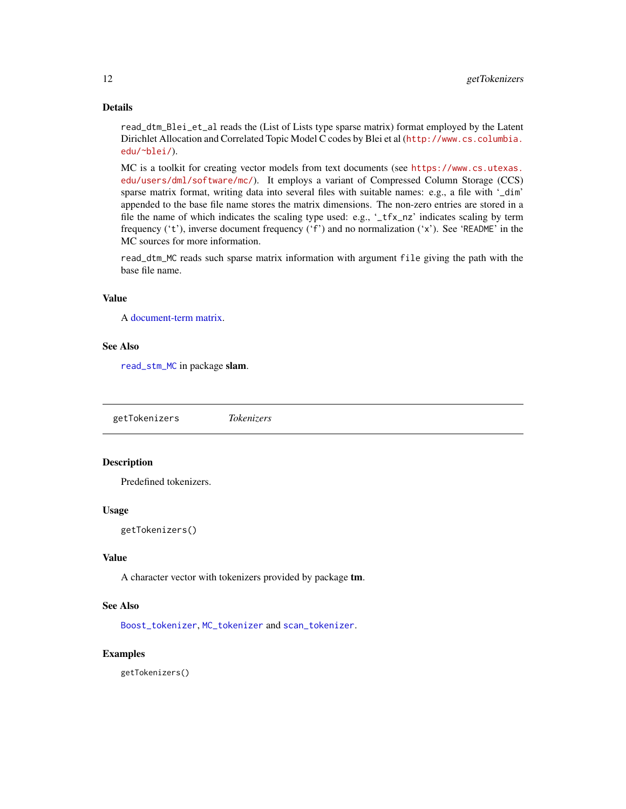### <span id="page-11-0"></span>Details

read\_dtm\_Blei\_et\_al reads the (List of Lists type sparse matrix) format employed by the Latent Dirichlet Allocation and Correlated Topic Model C codes by Blei et al ([http://www.cs.columbia.](http://www.cs.columbia.edu/~blei/) [edu/~blei/](http://www.cs.columbia.edu/~blei/)).

MC is a toolkit for creating vector models from text documents (see [https://www.cs.utexas.](https://www.cs.utexas.edu/users/dml/software/mc/) [edu/users/dml/software/mc/](https://www.cs.utexas.edu/users/dml/software/mc/)). It employs a variant of Compressed Column Storage (CCS) sparse matrix format, writing data into several files with suitable names: e.g., a file with '\_dim' appended to the base file name stores the matrix dimensions. The non-zero entries are stored in a file the name of which indicates the scaling type used: e.g., '\_tfx\_nz' indicates scaling by term frequency ('t'), inverse document frequency ('f') and no normalization ('x'). See 'README' in the MC sources for more information.

read\_dtm\_MC reads such sparse matrix information with argument file giving the path with the base file name.

### Value

A [document-term matrix.](#page-39-2)

### See Also

[read\\_stm\\_MC](#page-0-0) in package slam.

<span id="page-11-1"></span>getTokenizers *Tokenizers*

### Description

Predefined tokenizers.

#### Usage

getTokenizers()

#### Value

A character vector with tokenizers provided by package tm.

### See Also

[Boost\\_tokenizer](#page-48-1), [MC\\_tokenizer](#page-48-1) and [scan\\_tokenizer](#page-48-1).

#### Examples

getTokenizers()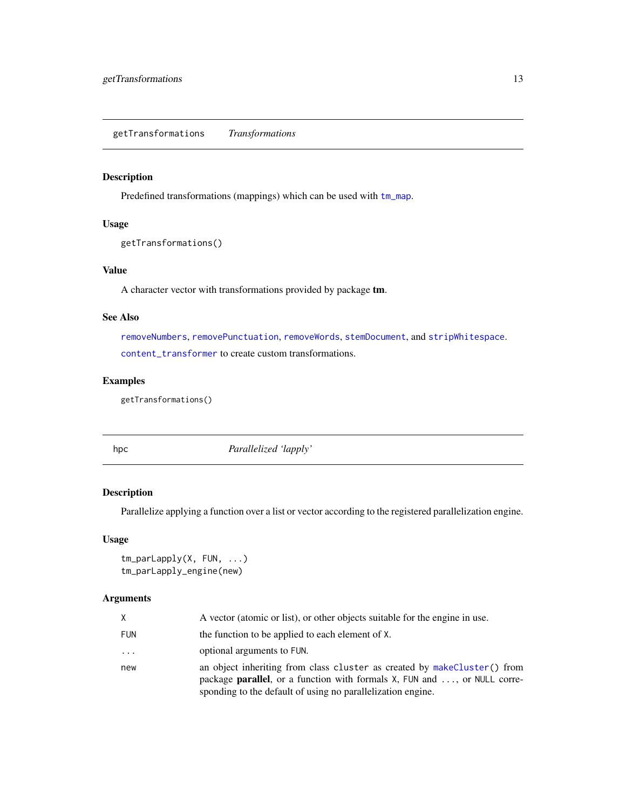<span id="page-12-1"></span><span id="page-12-0"></span>getTransformations *Transformations*

### Description

Predefined transformations (mappings) which can be used with [tm\\_map](#page-45-1).

### Usage

```
getTransformations()
```
### Value

A character vector with transformations provided by package tm.

#### See Also

[removeNumbers](#page-29-1), [removePunctuation](#page-30-1), [removeWords](#page-32-2), [stemDocument](#page-37-1), and [stripWhitespace](#page-38-1). [content\\_transformer](#page-3-1) to create custom transformations.

### Examples

getTransformations()

hpc *Parallelized 'lapply'*

### Description

Parallelize applying a function over a list or vector according to the registered parallelization engine.

#### Usage

```
tm_parLapply(X, FUN, ...)
tm_parLapply_engine(new)
```

| X.         | A vector (atomic or list), or other objects suitable for the engine in use.                                                                                                                                                 |
|------------|-----------------------------------------------------------------------------------------------------------------------------------------------------------------------------------------------------------------------------|
| <b>FUN</b> | the function to be applied to each element of X.                                                                                                                                                                            |
| $\cdots$   | optional arguments to FUN.                                                                                                                                                                                                  |
| new        | an object inheriting from class cluster as created by makeCluster() from<br>package <b>parallel</b> , or a function with formals X, FUN and , or NULL corre-<br>sponding to the default of using no parallelization engine. |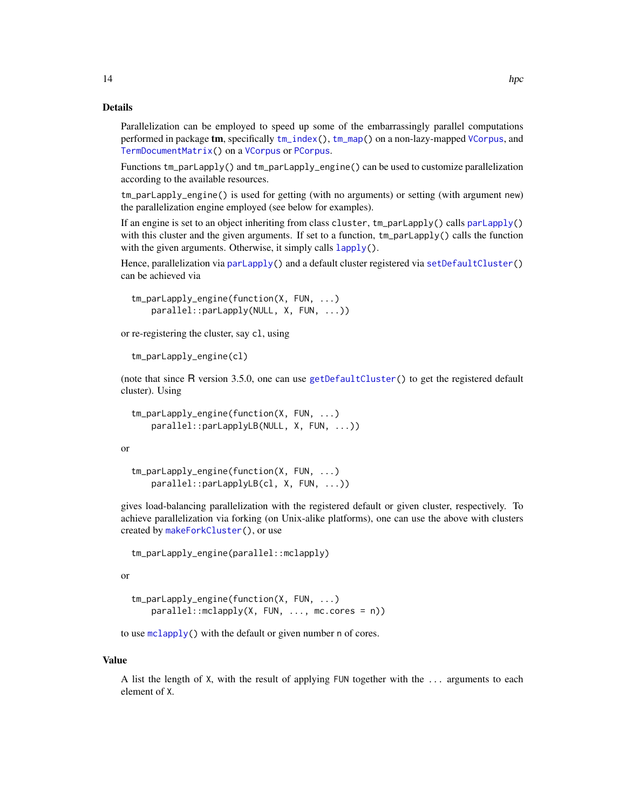<span id="page-13-0"></span>Parallelization can be employed to speed up some of the embarrassingly parallel computations performed in package tm, specifically [tm\\_index\(](#page-44-1)), [tm\\_map\(](#page-45-1)) on a non-lazy-mapped [VCorpus](#page-50-1), and [TermDocumentMatrix\(](#page-39-1)) on a [VCorpus](#page-50-1) or [PCorpus](#page-16-1).

Functions tm\_parLapply() and tm\_parLapply\_engine() can be used to customize parallelization according to the available resources.

tm\_parLapply\_engine() is used for getting (with no arguments) or setting (with argument new) the parallelization engine employed (see below for examples).

If an engine is set to an object inheriting from class cluster, tm\_parLapply() calls [parLapply\(](#page-0-0)) with this cluster and the given arguments. If set to a function,  $tm\_parLapply()$  calls the function with the given arguments. Otherwise, it simply calls  $l$  apply().

Hence, parallelization via [parLapply\(](#page-0-0)) and a default cluster registered via [setDefaultCluster\(](#page-0-0)) can be achieved via

```
tm_parLapply_engine(function(X, FUN, ...)
   parallel::parLapply(NULL, X, FUN, ...))
```
or re-registering the cluster, say cl, using

```
tm_parLapply_engine(cl)
```
(note that since R version 3.5.0, one can use [getDefaultCluster\(](#page-0-0)) to get the registered default cluster). Using

```
tm_parLapply_engine(function(X, FUN, ...)
   parallel::parLapplyLB(NULL, X, FUN, ...))
```
or

```
tm_parLapply_engine(function(X, FUN, ...)
   parallel::parLapplyLB(cl, X, FUN, ...))
```
gives load-balancing parallelization with the registered default or given cluster, respectively. To achieve parallelization via forking (on Unix-alike platforms), one can use the above with clusters created by [makeForkCluster\(](#page-0-0)), or use

```
tm_parLapply_engine(parallel::mclapply)
```
or

```
tm_parLapply_engine(function(X, FUN, ...)
   parallel::mclapply(X, FUN, ..., mc.cores = n))
```
to use [mclapply\(](#page-0-0)) with the default or given number n of cores.

#### Value

A list the length of X, with the result of applying FUN together with the ... arguments to each element of X.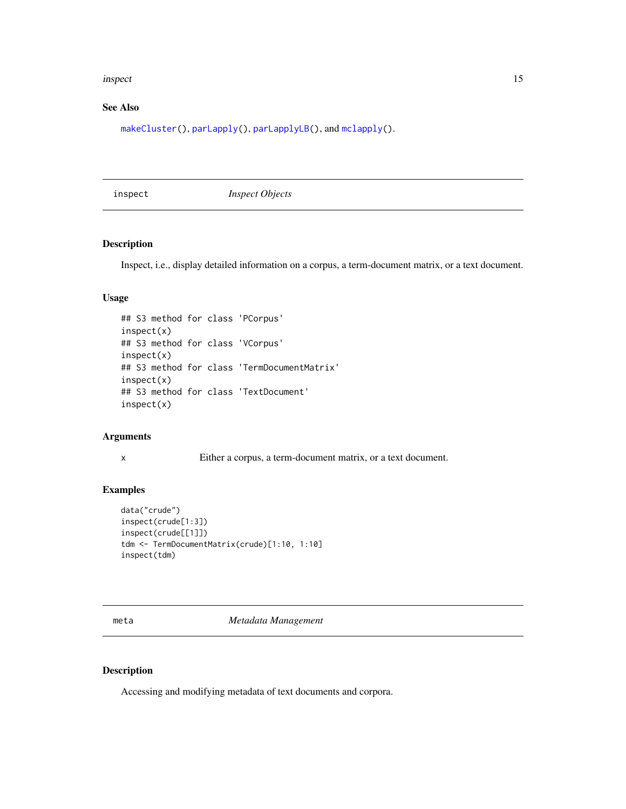#### <span id="page-14-0"></span>inspect 15

### See Also

[makeCluster\(](#page-0-0)), [parLapply\(](#page-0-0)), [parLapplyLB\(](#page-0-0)), and [mclapply\(](#page-0-0)).

inspect *Inspect Objects*

### Description

Inspect, i.e., display detailed information on a corpus, a term-document matrix, or a text document.

### Usage

```
## S3 method for class 'PCorpus'
inspect(x)
## S3 method for class 'VCorpus'
inspect(x)
## S3 method for class 'TermDocumentMatrix'
inspect(x)
## S3 method for class 'TextDocument'
inspect(x)
```
#### Arguments

```
x Either a corpus, a term-document matrix, or a text document.
```
### Examples

```
data("crude")
inspect(crude[1:3])
inspect(crude[[1]])
tdm <- TermDocumentMatrix(crude)[1:10, 1:10]
inspect(tdm)
```
<span id="page-14-1"></span>meta *Metadata Management*

#### Description

Accessing and modifying metadata of text documents and corpora.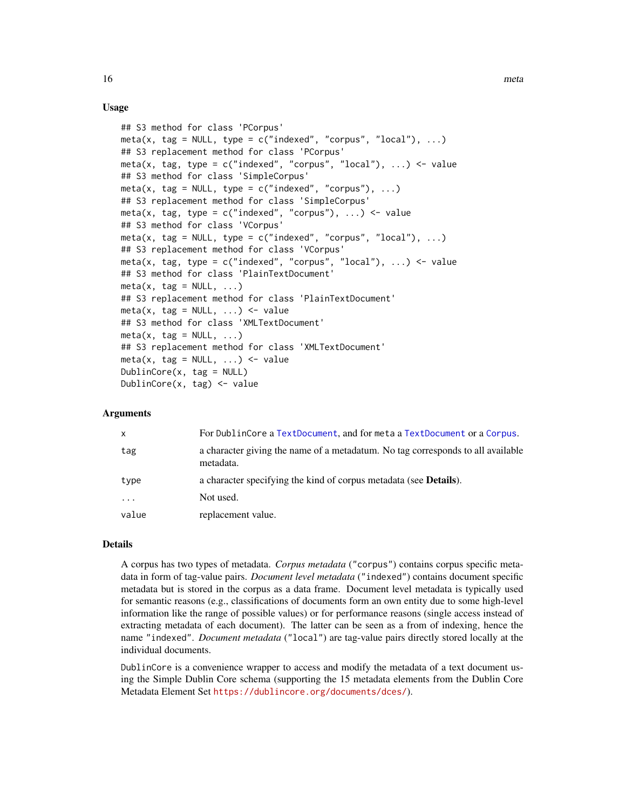### Usage

```
## S3 method for class 'PCorpus'
meta(x, tag = NULL, type = c("indexed", "corpus", "local"), ...)## S3 replacement method for class 'PCorpus'
meta(x, tag, type = c("indexed", "corpus", "local"), ...) <- value
## S3 method for class 'SimpleCorpus'
meta(x, tag = NULL, type = c("indexed", "corpus"), ...)## S3 replacement method for class 'SimpleCorpus'
meta(x, tag, type = c("indeced", "corpus"), ...) <- value
## S3 method for class 'VCorpus'
meta(x, tag = NULL, type = c("indexed", "corpus", "local"), ...)## S3 replacement method for class 'VCorpus'
meta(x, tag, type = c("indexed", "corpus", "local"), ...) <- value
## S3 method for class 'PlainTextDocument'
meta(x, tag = NULL, ...)## S3 replacement method for class 'PlainTextDocument'
meta(x, tag = NULL, ...) \leftarrow value## S3 method for class 'XMLTextDocument'
meta(x, tag = NULL, ...)## S3 replacement method for class 'XMLTextDocument'
meta(x, tag = NULL, ...) \leftarrow valueDublinCore(x, tag = NULL)
DublinCore(x, tag) <- value
```
#### Arguments

| $\mathsf{x}$ | For DublinCore a TextDocument, and for meta a TextDocument or a Corpus.                      |
|--------------|----------------------------------------------------------------------------------------------|
| tag          | a character giving the name of a metadatum. No tag corresponds to all available<br>metadata. |
| type         | a character specifying the kind of corpus metadata (see <b>Details</b> ).                    |
| $\cdots$     | Not used.                                                                                    |
| value        | replacement value.                                                                           |

### Details

A corpus has two types of metadata. *Corpus metadata* ("corpus") contains corpus specific metadata in form of tag-value pairs. *Document level metadata* ("indexed") contains document specific metadata but is stored in the corpus as a data frame. Document level metadata is typically used for semantic reasons (e.g., classifications of documents form an own entity due to some high-level information like the range of possible values) or for performance reasons (single access instead of extracting metadata of each document). The latter can be seen as a from of indexing, hence the name "indexed". *Document metadata* ("local") are tag-value pairs directly stored locally at the individual documents.

DublinCore is a convenience wrapper to access and modify the metadata of a text document using the Simple Dublin Core schema (supporting the 15 metadata elements from the Dublin Core Metadata Element Set <https://dublincore.org/documents/dces/>).

<span id="page-15-0"></span>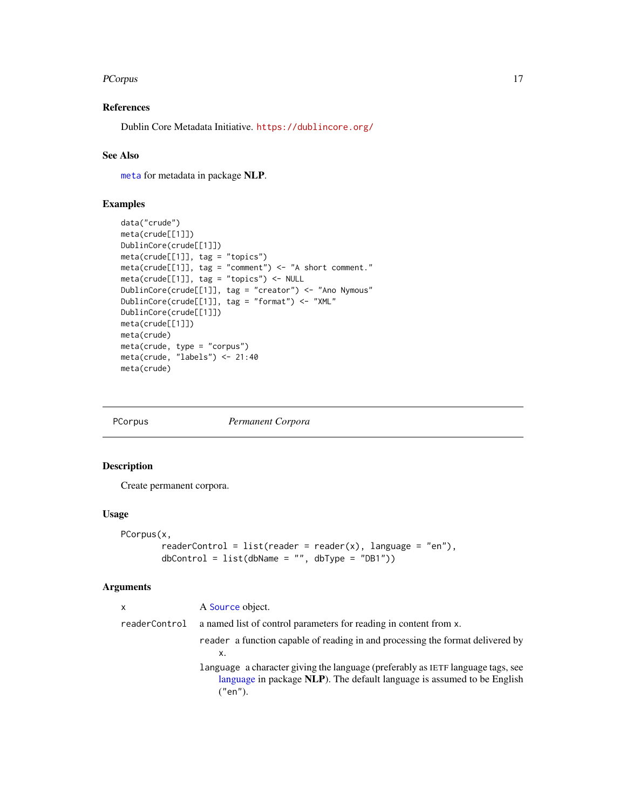#### <span id="page-16-0"></span>PCorpus 2008 and 2008 and 2008 and 2008 and 2008 and 2008 and 2008 and 2008 and 2008 and 2008 and 2008 and 200

### References

Dublin Core Metadata Initiative. <https://dublincore.org/>

### See Also

[meta](#page-14-1) for metadata in package NLP.

### Examples

```
data("crude")
meta(crude[[1]])
DublinCore(crude[[1]])
meta(crude[[1]], tag = "topics")
meta(crude[[1]], tag = "comment") <- "A short comment."
meta(crude[[1]], tag = "topics") <- NULL
DublinCore(crude[[1]], tag = "creator") <- "Ano Nymous"
DublinCore(crude[[1]], tag = "format") <- "XML"
DublinCore(crude[[1]])
meta(crude[[1]])
meta(crude)
meta(crude, type = "corpus")
meta(crude, "labels") <- 21:40
meta(crude)
```
<span id="page-16-1"></span>

PCorpus *Permanent Corpora*

### Description

Create permanent corpora.

#### Usage

```
PCorpus(x,
       readerControl = list(reader = reader(x), language = "en"),
       dbControl = list(dbName = "", dbType = "DB1")
```

| x             | A Source object.                                                                                                                                                      |
|---------------|-----------------------------------------------------------------------------------------------------------------------------------------------------------------------|
| readerControl | a named list of control parameters for reading in content from x.                                                                                                     |
|               | reader a function capable of reading in and processing the format delivered by<br>х.                                                                                  |
|               | language a character giving the language (preferably as IETF language tags, see<br>language in package NLP). The default language is assumed to be English<br>("en"). |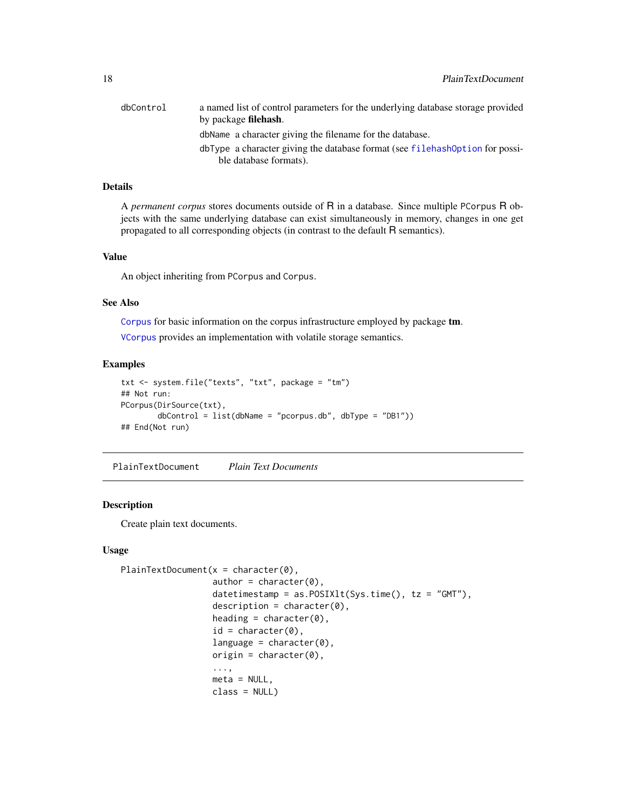<span id="page-17-0"></span>

| dbControl | a named list of control parameters for the underlying database storage provided<br>by package <b>filehash</b> . |
|-----------|-----------------------------------------------------------------------------------------------------------------|
|           | dbName a character giving the filename for the database.                                                        |
|           | dbType a character giving the database format (see filehash0ption for possi-                                    |
|           | ble database formats).                                                                                          |

### Details

A *permanent corpus* stores documents outside of R in a database. Since multiple PCorpus R objects with the same underlying database can exist simultaneously in memory, changes in one get propagated to all corresponding objects (in contrast to the default R semantics).

### Value

An object inheriting from PCorpus and Corpus.

### See Also

[Corpus](#page-3-2) for basic information on the corpus infrastructure employed by package tm.

[VCorpus](#page-50-1) provides an implementation with volatile storage semantics.

### Examples

```
txt <- system.file("texts", "txt", package = "tm")
## Not run:
PCorpus(DirSource(txt),
        dbControl = list(dbName = "pcorpus.db", dbType = "DB1"))
## End(Not run)
```
<span id="page-17-1"></span>PlainTextDocument *Plain Text Documents*

### Description

Create plain text documents.

### Usage

```
PlainTextDocument(x =character(0),
                   \text{author} = \text{character}(0),datetimestamp = as.POSIXlt(Sys.time(), tz = "GMT"),
                   description = character(0),
                   heading = character(0),
                   id = character(0),
                   language = character(0),
                   origin = character(0),
                   ...,
                   meta = NULL,class = NULL)
```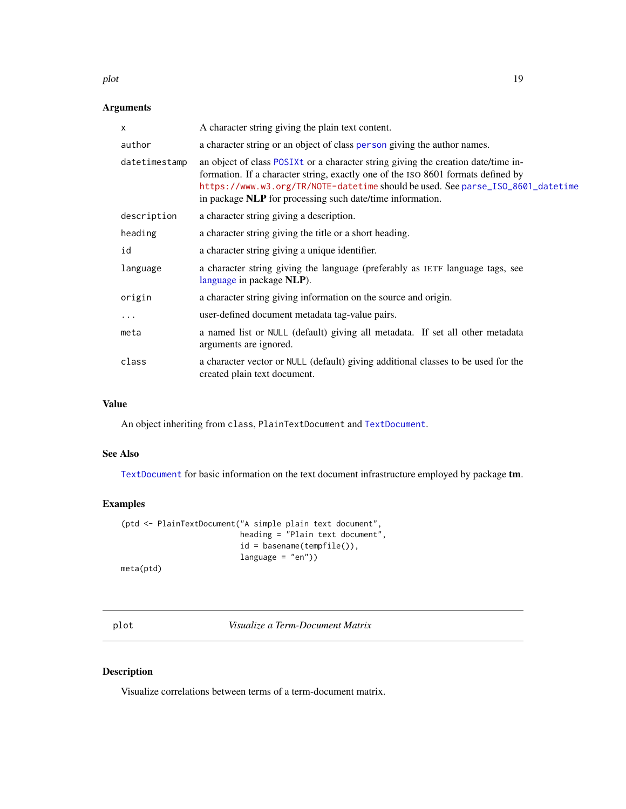#### <span id="page-18-0"></span>plot the contract of the contract of the contract of the contract of the contract of the contract of the contract of the contract of the contract of the contract of the contract of the contract of the contract of the contr

### Arguments

| $\times$      | A character string giving the plain text content.                                                                                                                                                                                                                                                                     |
|---------------|-----------------------------------------------------------------------------------------------------------------------------------------------------------------------------------------------------------------------------------------------------------------------------------------------------------------------|
| author        | a character string or an object of class person giving the author names.                                                                                                                                                                                                                                              |
| datetimestamp | an object of class POSIXt or a character string giving the creation date/time in-<br>formation. If a character string, exactly one of the ISO 8601 formats defined by<br>https://www.w3.org/TR/NOTE-datetime should be used. See parse_ISO_8601_datetime<br>in package NLP for processing such date/time information. |
| description   | a character string giving a description.                                                                                                                                                                                                                                                                              |
| heading       | a character string giving the title or a short heading.                                                                                                                                                                                                                                                               |
| id            | a character string giving a unique identifier.                                                                                                                                                                                                                                                                        |
| language      | a character string giving the language (preferably as IETF language tags, see<br>language in package NLP).                                                                                                                                                                                                            |
| origin        | a character string giving information on the source and origin.                                                                                                                                                                                                                                                       |
| .             | user-defined document metadata tag-value pairs.                                                                                                                                                                                                                                                                       |
| meta          | a named list or NULL (default) giving all metadata. If set all other metadata<br>arguments are ignored.                                                                                                                                                                                                               |
| class         | a character vector or NULL (default) giving additional classes to be used for the<br>created plain text document.                                                                                                                                                                                                     |

### Value

An object inheriting from class, PlainTextDocument and [TextDocument](#page-42-1).

### See Also

[TextDocument](#page-42-1) for basic information on the text document infrastructure employed by package tm.

### Examples

```
(ptd <- PlainTextDocument("A simple plain text document",
                         heading = "Plain text document",
                         id = basename(tempfile()),
                         language = "en")
```
meta(ptd)

<span id="page-18-1"></span>plot *Visualize a Term-Document Matrix*

### Description

Visualize correlations between terms of a term-document matrix.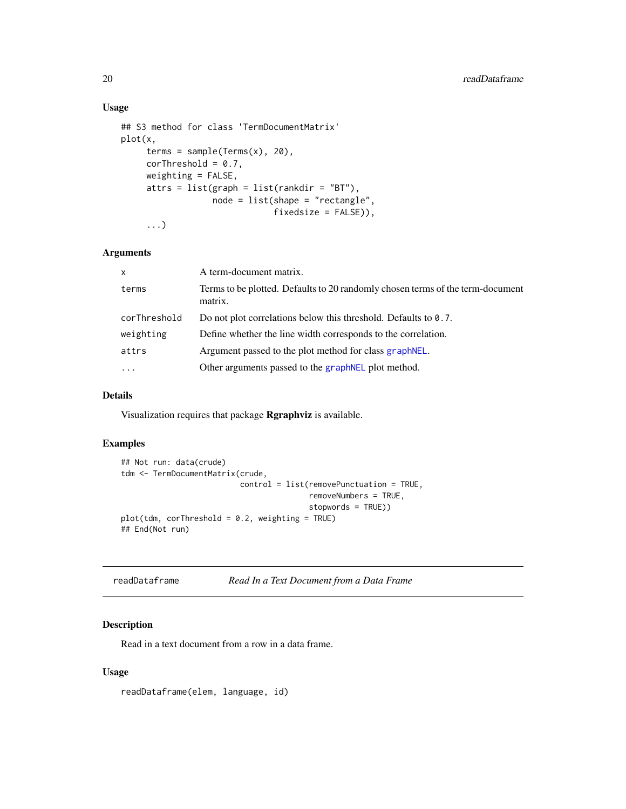### Usage

```
## S3 method for class 'TermDocumentMatrix'
plot(x,
     terms = sample(Terms(x), 20),
     corThreshold = 0.7,
     weighting = FALSE,
     attrs = list(graph = list(rankdir = "BT"),
                  node = list(shape = "rectangle",
                              fixedsize = FALSE)),
     ...)
```
### Arguments

| A term-document matrix.                                                                   |
|-------------------------------------------------------------------------------------------|
| Terms to be plotted. Defaults to 20 randomly chosen terms of the term-document<br>matrix. |
| Do not plot correlations below this threshold. Defaults to 0.7.                           |
| Define whether the line width corresponds to the correlation.                             |
| Argument passed to the plot method for class graph NEL.                                   |
| Other arguments passed to the graph NEL plot method.                                      |
|                                                                                           |

### Details

Visualization requires that package Rgraphviz is available.

### Examples

```
## Not run: data(crude)
tdm <- TermDocumentMatrix(crude,
                          control = list(removePunctuation = TRUE,
                                         removeNumbers = TRUE,
                                         stopwords = TRUE))
plot(tdm, corThreshold = 0.2, weighting = TRUE)
## End(Not run)
```

| readDataframe |  | Read In a Text Document from a Data Frame |  |  |
|---------------|--|-------------------------------------------|--|--|
|---------------|--|-------------------------------------------|--|--|

### Description

Read in a text document from a row in a data frame.

### Usage

readDataframe(elem, language, id)

<span id="page-19-0"></span>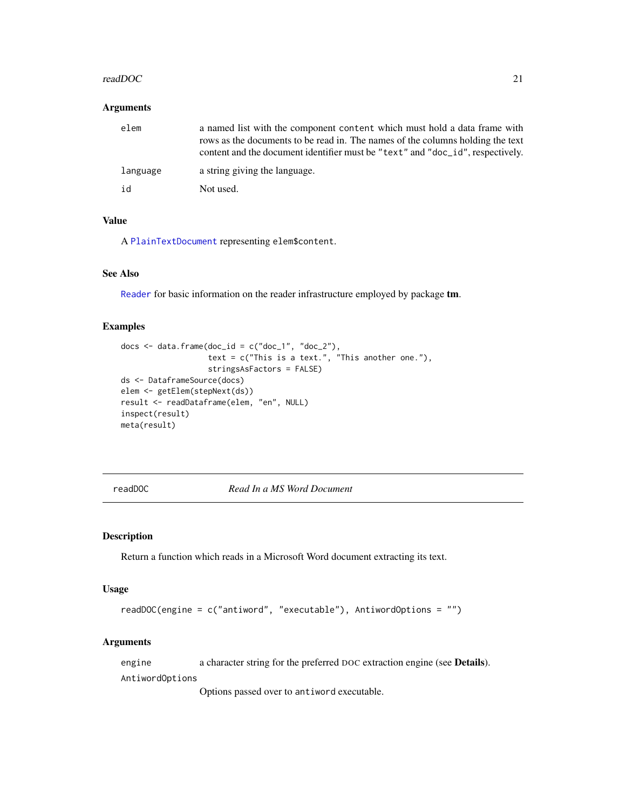#### <span id="page-20-0"></span>readDOC 21

#### Arguments

| elem     | a named list with the component content which must hold a data frame with<br>rows as the documents to be read in. The names of the columns holding the text<br>content and the document identifier must be "text" and "doc_id", respectively. |
|----------|-----------------------------------------------------------------------------------------------------------------------------------------------------------------------------------------------------------------------------------------------|
| language | a string giving the language.                                                                                                                                                                                                                 |
| id       | Not used.                                                                                                                                                                                                                                     |

### Value

A [PlainTextDocument](#page-17-1) representing elem\$content.

### See Also

[Reader](#page-21-1) for basic information on the reader infrastructure employed by package tm.

### Examples

```
docs \leq data.frame(doc_id = c("doc_1", "doc_2"),
                  text = c("This is a text." This another one."),
                   stringsAsFactors = FALSE)
ds <- DataframeSource(docs)
elem <- getElem(stepNext(ds))
result <- readDataframe(elem, "en", NULL)
inspect(result)
meta(result)
```
<span id="page-20-1"></span>readDOC *Read In a MS Word Document*

### Description

Return a function which reads in a Microsoft Word document extracting its text.

#### Usage

```
readDOC(engine = c("antiword", "executable"), AntiwordOptions = "")
```
### Arguments

engine a character string for the preferred DOC extraction engine (see Details).

AntiwordOptions

Options passed over to antiword executable.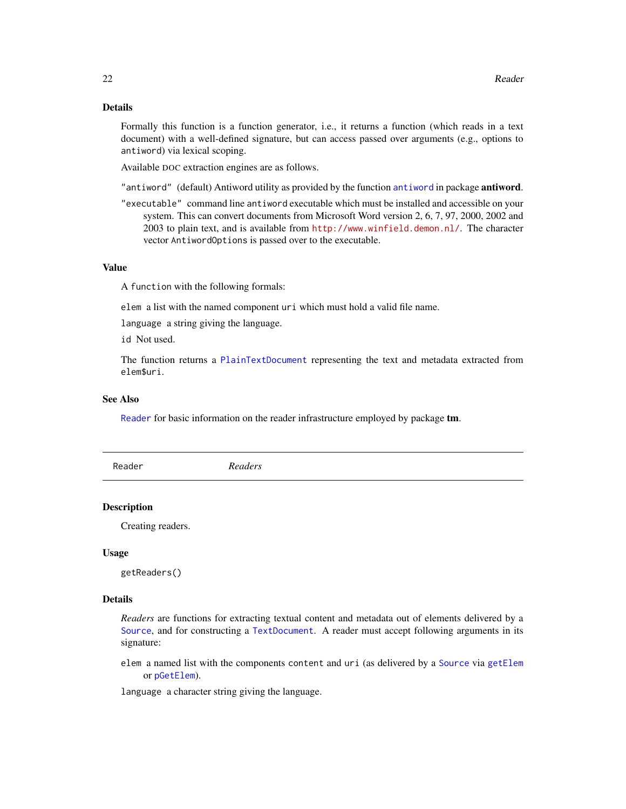### <span id="page-21-0"></span>Details

Formally this function is a function generator, i.e., it returns a function (which reads in a text document) with a well-defined signature, but can access passed over arguments (e.g., options to antiword) via lexical scoping.

Available DOC extraction engines are as follows.

"antiword" (default) Antiword utility as provided by the function [antiword](#page-0-0) in package antiword.

"executable" command line antiword executable which must be installed and accessible on your system. This can convert documents from Microsoft Word version 2, 6, 7, 97, 2000, 2002 and 2003 to plain text, and is available from <http://www.winfield.demon.nl/>. The character vector AntiwordOptions is passed over to the executable.

#### Value

A function with the following formals:

elem a list with the named component uri which must hold a valid file name.

language a string giving the language.

id Not used.

The function returns a [PlainTextDocument](#page-17-1) representing the text and metadata extracted from elem\$uri.

#### See Also

[Reader](#page-21-1) for basic information on the reader infrastructure employed by package **tm**.

<span id="page-21-1"></span>Reader *Readers*

#### **Description**

Creating readers.

#### Usage

getReaders()

#### Details

*Readers* are functions for extracting textual content and metadata out of elements delivered by a [Source](#page-34-2), and for constructing a [TextDocument](#page-42-1). A reader must accept following arguments in its signature:

elem a named list with the components content and uri (as delivered by a [Source](#page-34-2) via [getElem](#page-34-1) or [pGetElem](#page-34-1)).

language a character string giving the language.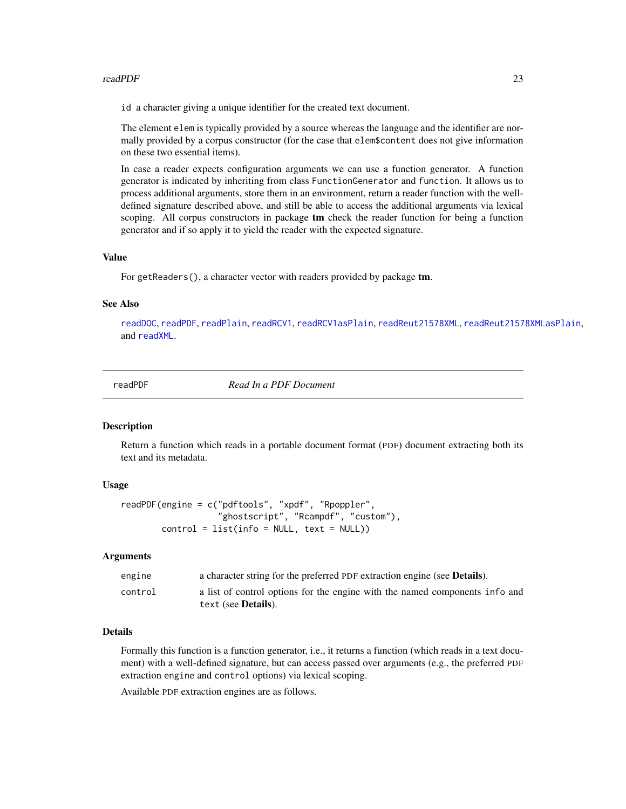#### <span id="page-22-0"></span>readPDF 23

id a character giving a unique identifier for the created text document.

The element elem is typically provided by a source whereas the language and the identifier are normally provided by a corpus constructor (for the case that elem\$content does not give information on these two essential items).

In case a reader expects configuration arguments we can use a function generator. A function generator is indicated by inheriting from class FunctionGenerator and function. It allows us to process additional arguments, store them in an environment, return a reader function with the welldefined signature described above, and still be able to access the additional arguments via lexical scoping. All corpus constructors in package tm check the reader function for being a function generator and if so apply it to yield the reader with the expected signature.

#### Value

For getReaders(), a character vector with readers provided by package **tm**.

#### See Also

[readDOC](#page-20-1), [readPDF](#page-22-1), [readPlain](#page-24-1), [readRCV1](#page-25-1), [readRCV1asPlain](#page-25-2), [readReut21578XML](#page-26-1), [readReut21578XMLasPlain](#page-26-2), and [readXML](#page-28-1).

<span id="page-22-1"></span>

readPDF *Read In a PDF Document*

#### Description

Return a function which reads in a portable document format (PDF) document extracting both its text and its metadata.

#### Usage

```
readPDF(engine = c("pdftools", "xpdf", "Rpoppler",
                   "ghostscript", "Rcampdf", "custom"),
       control = list(info = NULL, text = NULL)
```
#### **Arguments**

| engine  | a character string for the preferred PDF extraction engine (see <b>Details</b> ). |
|---------|-----------------------------------------------------------------------------------|
| control | a list of control options for the engine with the named components info and       |
|         | text (see <b>Details</b> ).                                                       |

### Details

Formally this function is a function generator, i.e., it returns a function (which reads in a text document) with a well-defined signature, but can access passed over arguments (e.g., the preferred PDF extraction engine and control options) via lexical scoping.

Available PDF extraction engines are as follows.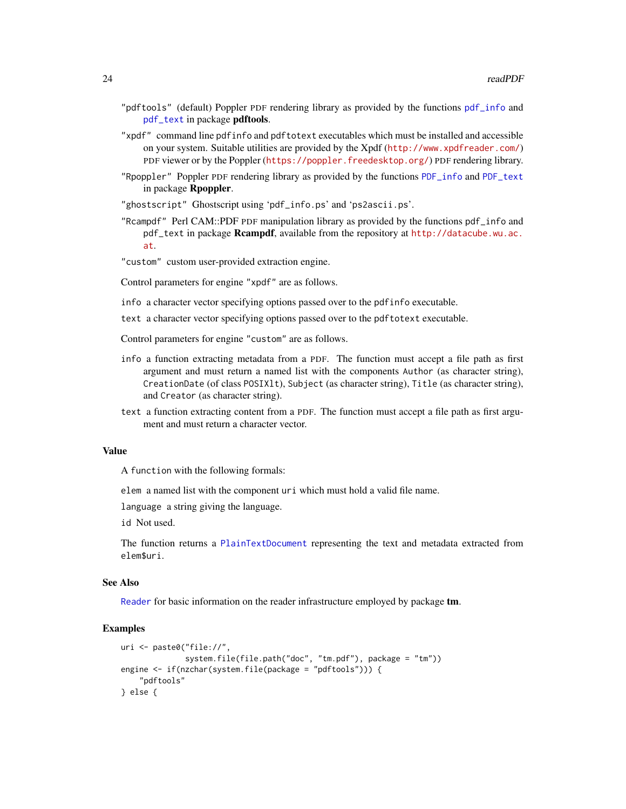- <span id="page-23-0"></span>"pdftools" (default) Poppler PDF rendering library as provided by the functions [pdf\\_info](#page-0-0) and [pdf\\_text](#page-0-0) in package pdftools.
- "xpdf" command line pdfinfo and pdftotext executables which must be installed and accessible on your system. Suitable utilities are provided by the Xpdf (<http://www.xpdfreader.com/>) PDF viewer or by the Poppler (<https://poppler.freedesktop.org/>) PDF rendering library.
- "Rpoppler" Poppler PDF rendering library as provided by the functions [PDF\\_info](#page-0-0) and [PDF\\_text](#page-0-0) in package Rpoppler.
- "ghostscript" Ghostscript using 'pdf\_info.ps' and 'ps2ascii.ps'.
- "Rcampdf" Perl CAM::PDF PDF manipulation library as provided by the functions pdf\_info and pdf\_text in package Rcampdf, available from the repository at [http://datacube.wu.ac.](http://datacube.wu.ac.at) [at](http://datacube.wu.ac.at).
- "custom" custom user-provided extraction engine.

Control parameters for engine "xpdf" are as follows.

- info a character vector specifying options passed over to the pdfinfo executable.
- text a character vector specifying options passed over to the pdftotext executable.
- Control parameters for engine "custom" are as follows.
- info a function extracting metadata from a PDF. The function must accept a file path as first argument and must return a named list with the components Author (as character string), CreationDate (of class POSIXlt), Subject (as character string), Title (as character string), and Creator (as character string).
- text a function extracting content from a PDF. The function must accept a file path as first argument and must return a character vector.

#### Value

A function with the following formals:

elem a named list with the component uri which must hold a valid file name.

language a string giving the language.

id Not used.

The function returns a [PlainTextDocument](#page-17-1) representing the text and metadata extracted from elem\$uri.

#### See Also

[Reader](#page-21-1) for basic information on the reader infrastructure employed by package tm.

```
uri <- paste0("file://",
              system.file(file.path("doc", "tm.pdf"), package = "tm"))
engine <- if(nzchar(system.file(package = "pdftools"))) {
    "pdftools"
} else {
```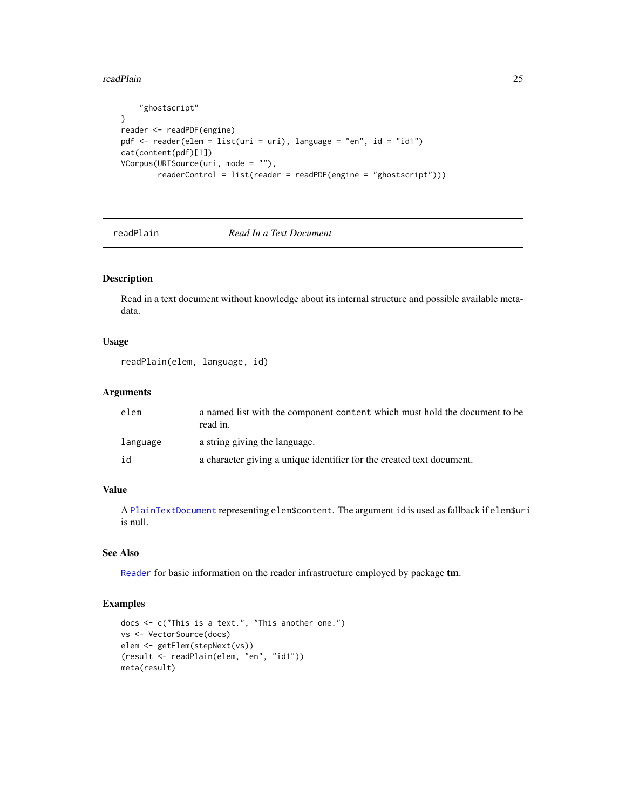<span id="page-24-0"></span>readPlain 25

```
"ghostscript"
}
reader <- readPDF(engine)
pdf <- reader(elem = list(uri = uri), language = "en", id = "id1")
cat(content(pdf)[1])
VCorpus(URISource(uri, mode = ""),
        readerControl = list(reader = readPDF(engine = "ghostscript")))
```
readPlain *Read In a Text Document*

### Description

Read in a text document without knowledge about its internal structure and possible available metadata.

#### Usage

```
readPlain(elem, language, id)
```
### Arguments

| elem     | a named list with the component content which must hold the document to be<br>read in. |
|----------|----------------------------------------------------------------------------------------|
| language | a string giving the language.                                                          |
| id       | a character giving a unique identifier for the created text document.                  |

### Value

A [PlainTextDocument](#page-17-1) representing elem\$content. The argument id is used as fallback if elem\$uri is null.

#### See Also

[Reader](#page-21-1) for basic information on the reader infrastructure employed by package tm.

```
docs <- c("This is a text.", "This another one.")
vs <- VectorSource(docs)
elem <- getElem(stepNext(vs))
(result <- readPlain(elem, "en", "id1"))
meta(result)
```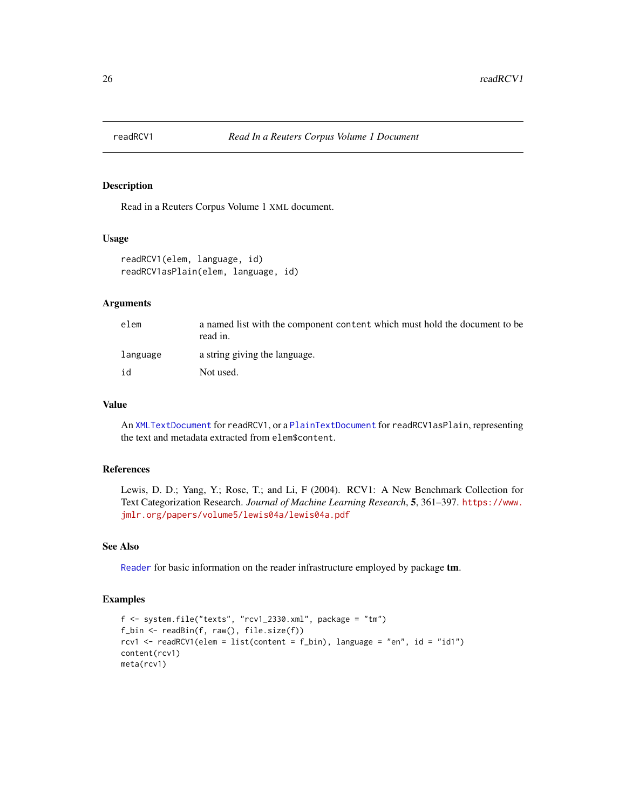<span id="page-25-1"></span><span id="page-25-0"></span>

### <span id="page-25-2"></span>Description

Read in a Reuters Corpus Volume 1 XML document.

#### Usage

```
readRCV1(elem, language, id)
readRCV1asPlain(elem, language, id)
```
### Arguments

| elem     | a named list with the component content which must hold the document to be<br>read in. |
|----------|----------------------------------------------------------------------------------------|
| language | a string giving the language.                                                          |
| id       | Not used.                                                                              |

#### Value

An [XMLTextDocument](#page-57-1) for readRCV1, or a [PlainTextDocument](#page-17-1) for readRCV1asPlain, representing the text and metadata extracted from elem\$content.

### References

Lewis, D. D.; Yang, Y.; Rose, T.; and Li, F (2004). RCV1: A New Benchmark Collection for Text Categorization Research. *Journal of Machine Learning Research*, 5, 361–397. [https://www.](https://www.jmlr.org/papers/volume5/lewis04a/lewis04a.pdf) [jmlr.org/papers/volume5/lewis04a/lewis04a.pdf](https://www.jmlr.org/papers/volume5/lewis04a/lewis04a.pdf)

### See Also

[Reader](#page-21-1) for basic information on the reader infrastructure employed by package tm.

```
f \leq system.file("texts", "rcv1_2330.xml", package = "tm")
f_bin <- readBin(f, raw(), file.size(f))
rcv1 <- readRCV1(elem = list(content = f_bin), language = "en", id = "id1")
content(rcv1)
meta(rcv1)
```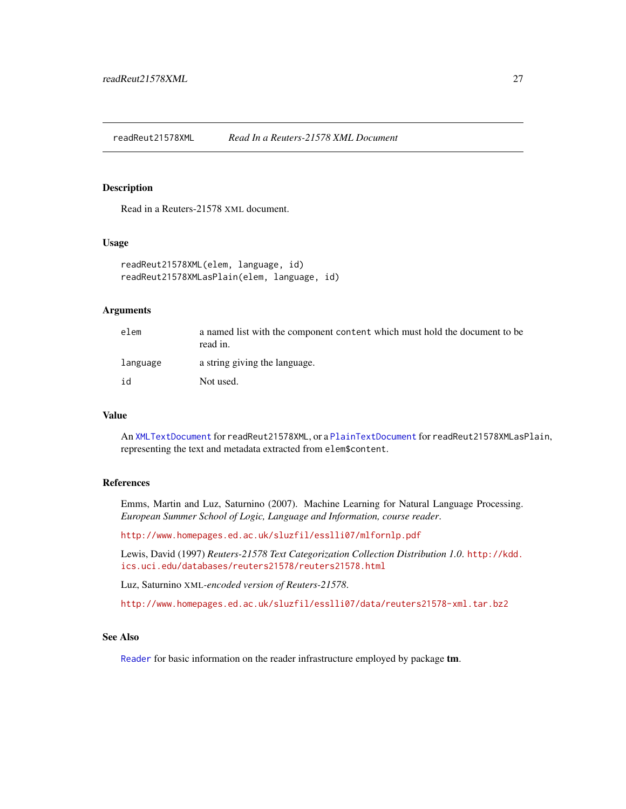<span id="page-26-1"></span><span id="page-26-0"></span>readReut21578XML *Read In a Reuters-21578 XML Document*

### <span id="page-26-2"></span>Description

Read in a Reuters-21578 XML document.

### Usage

```
readReut21578XML(elem, language, id)
readReut21578XMLasPlain(elem, language, id)
```
### Arguments

| elem     | a named list with the component content which must hold the document to be<br>read in. |
|----------|----------------------------------------------------------------------------------------|
| language | a string giving the language.                                                          |
| id       | Not used.                                                                              |

### Value

An [XMLTextDocument](#page-57-1) for readReut21578XML, or a [PlainTextDocument](#page-17-1) for readReut21578XMLasPlain, representing the text and metadata extracted from elem\$content.

### References

Emms, Martin and Luz, Saturnino (2007). Machine Learning for Natural Language Processing. *European Summer School of Logic, Language and Information, course reader*.

<http://www.homepages.ed.ac.uk/sluzfil/esslli07/mlfornlp.pdf>

Lewis, David (1997) *Reuters-21578 Text Categorization Collection Distribution 1.0*. [http://kdd.](http://kdd.ics.uci.edu/databases/reuters21578/reuters21578.html) [ics.uci.edu/databases/reuters21578/reuters21578.html](http://kdd.ics.uci.edu/databases/reuters21578/reuters21578.html)

Luz, Saturnino XML*-encoded version of Reuters-21578*.

<http://www.homepages.ed.ac.uk/sluzfil/esslli07/data/reuters21578-xml.tar.bz2>

### See Also

[Reader](#page-21-1) for basic information on the reader infrastructure employed by package tm.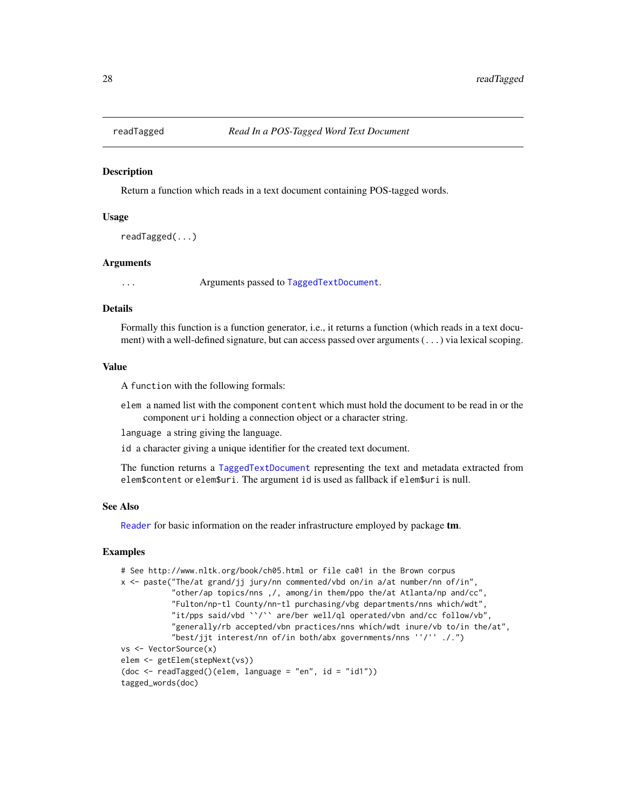<span id="page-27-0"></span>

#### **Description**

Return a function which reads in a text document containing POS-tagged words.

#### Usage

```
readTagged(...)
```
#### Arguments

... Arguments passed to [TaggedTextDocument](#page-0-0).

### **Details**

Formally this function is a function generator, i.e., it returns a function (which reads in a text document) with a well-defined signature, but can access passed over arguments (...) via lexical scoping.

#### Value

A function with the following formals:

elem a named list with the component content which must hold the document to be read in or the component uri holding a connection object or a character string.

language a string giving the language.

id a character giving a unique identifier for the created text document.

The function returns a [TaggedTextDocument](#page-0-0) representing the text and metadata extracted from elem\$content or elem\$uri. The argument id is used as fallback if elem\$uri is null.

#### See Also

[Reader](#page-21-1) for basic information on the reader infrastructure employed by package **tm**.

```
# See http://www.nltk.org/book/ch05.html or file ca01 in the Brown corpus
x <- paste("The/at grand/jj jury/nn commented/vbd on/in a/at number/nn of/in",
           "other/ap topics/nns ,/, among/in them/ppo the/at Atlanta/np and/cc",
           "Fulton/np-tl County/nn-tl purchasing/vbg departments/nns which/wdt",
           "it/pps said/vbd ``/`` are/ber well/ql operated/vbn and/cc follow/vb",
           "generally/rb accepted/vbn practices/nns which/wdt inure/vb to/in the/at",
           "best/jjt interest/nn of/in both/abx governments/nns ''/'' ./.")
vs <- VectorSource(x)
elem <- getElem(stepNext(vs))
(doc <- readTagged()(elem, language = "en", id = "id1"))
tagged_words(doc)
```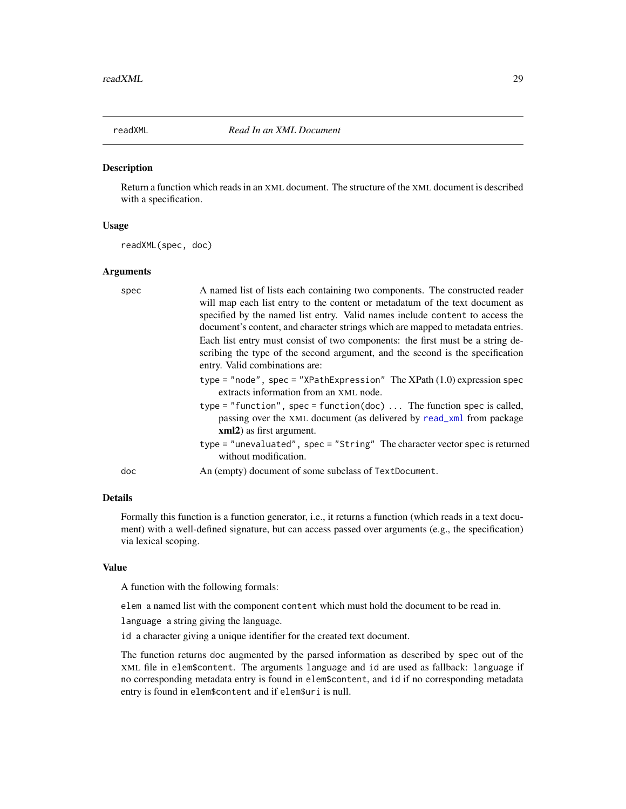<span id="page-28-1"></span><span id="page-28-0"></span>

#### Description

Return a function which reads in an XML document. The structure of the XML document is described with a specification.

#### Usage

readXML(spec, doc)

#### Arguments

| spec | A named list of lists each containing two components. The constructed reader<br>will map each list entry to the content or metadatum of the text document as<br>specified by the named list entry. Valid names include content to access the<br>document's content, and character strings which are mapped to metadata entries.<br>Each list entry must consist of two components: the first must be a string de-<br>scribing the type of the second argument, and the second is the specification<br>entry. Valid combinations are: |
|------|--------------------------------------------------------------------------------------------------------------------------------------------------------------------------------------------------------------------------------------------------------------------------------------------------------------------------------------------------------------------------------------------------------------------------------------------------------------------------------------------------------------------------------------|
|      | type = "node", spec = "XPathExpression" The XPath $(1.0)$ expression spec<br>extracts information from an XML node.<br>type = "function", spec = function(doc)  The function spec is called,<br>passing over the XML document (as delivered by read_xml from package<br>xml2) as first argument.<br>type = "unevaluated", spec = "String" The character vector spec is returned<br>without modification.                                                                                                                             |
| doc  | An (empty) document of some subclass of TextDocument.                                                                                                                                                                                                                                                                                                                                                                                                                                                                                |

### Details

Formally this function is a function generator, i.e., it returns a function (which reads in a text document) with a well-defined signature, but can access passed over arguments (e.g., the specification) via lexical scoping.

### Value

A function with the following formals:

elem a named list with the component content which must hold the document to be read in.

language a string giving the language.

id a character giving a unique identifier for the created text document.

The function returns doc augmented by the parsed information as described by spec out of the XML file in elem\$content. The arguments language and id are used as fallback: language if no corresponding metadata entry is found in elem\$content, and id if no corresponding metadata entry is found in elem\$content and if elem\$uri is null.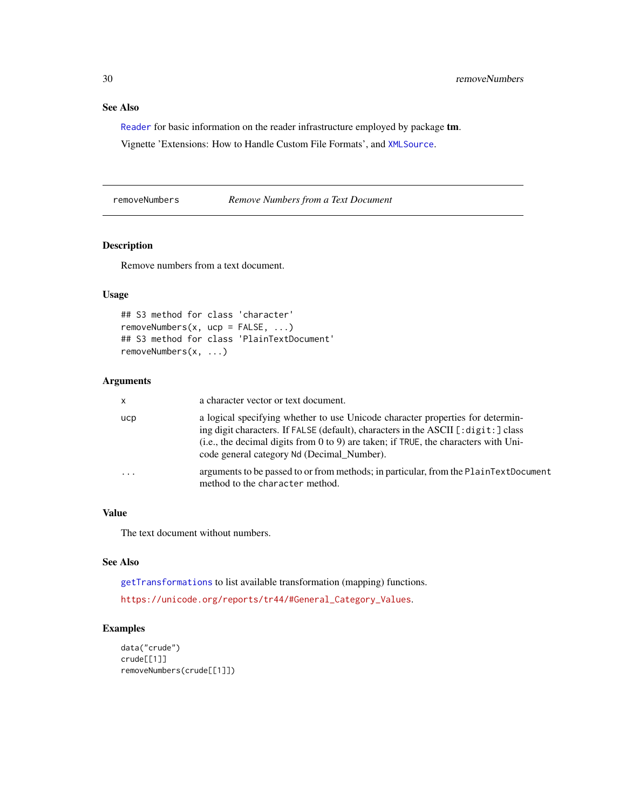### <span id="page-29-0"></span>See Also

[Reader](#page-21-1) for basic information on the reader infrastructure employed by package tm.

Vignette 'Extensions: How to Handle Custom File Formats', and [XMLSource](#page-56-1).

<span id="page-29-1"></span>removeNumbers *Remove Numbers from a Text Document*

### Description

Remove numbers from a text document.

### Usage

```
## S3 method for class 'character'
removeNumbers(x, ucp = FALSE, ...)
## S3 method for class 'PlainTextDocument'
removeNumbers(x, ...)
```
### Arguments

| <b>X</b> | a character vector or text document.                                                                                                                                                                                                                                                                          |
|----------|---------------------------------------------------------------------------------------------------------------------------------------------------------------------------------------------------------------------------------------------------------------------------------------------------------------|
| ucp      | a logical specifying whether to use Unicode character properties for determin-<br>ing digit characters. If FALSE (default), characters in the ASCII [:digit:] class<br>(i.e., the decimal digits from $0$ to $9$ ) are taken; if TRUE, the characters with Uni-<br>code general category Nd (Decimal_Number). |
| $\cdot$  | arguments to be passed to or from methods; in particular, from the PlainTextDocument<br>method to the character method.                                                                                                                                                                                       |

#### Value

The text document without numbers.

### See Also

[getTransformations](#page-12-1) to list available transformation (mapping) functions.

[https://unicode.org/reports/tr44/#General\\_Category\\_Values](https://unicode.org/reports/tr44/#General_Category_Values).

```
data("crude")
crude[[1]]
removeNumbers(crude[[1]])
```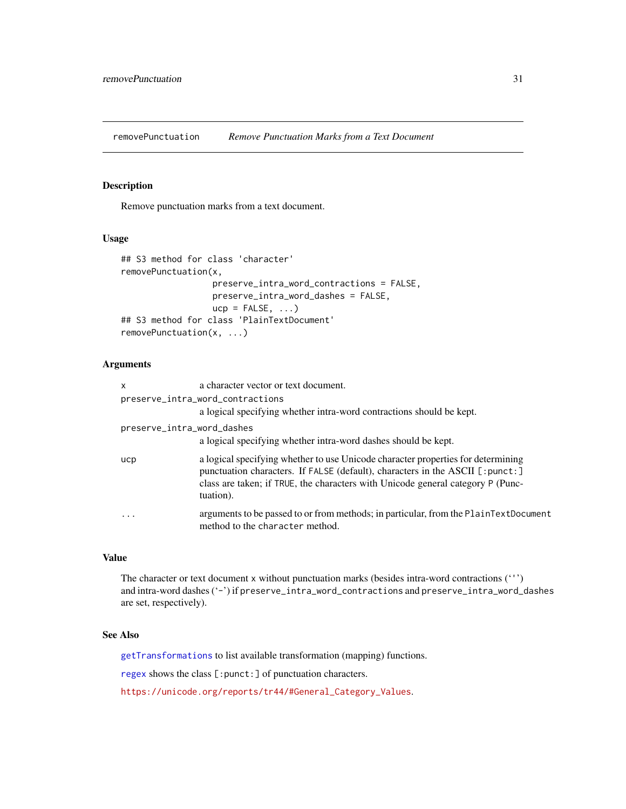<span id="page-30-1"></span><span id="page-30-0"></span>removePunctuation *Remove Punctuation Marks from a Text Document*

### Description

Remove punctuation marks from a text document.

#### Usage

```
## S3 method for class 'character'
removePunctuation(x,
                  preserve_intra_word_contractions = FALSE,
                  preserve_intra_word_dashes = FALSE,
                  ucp = FALSE, ...)## S3 method for class 'PlainTextDocument'
removePunctuation(x, ...)
```
### Arguments

| x                          | a character vector or text document.                                                                                                                                                                                                                              |
|----------------------------|-------------------------------------------------------------------------------------------------------------------------------------------------------------------------------------------------------------------------------------------------------------------|
|                            | preserve_intra_word_contractions                                                                                                                                                                                                                                  |
|                            | a logical specifying whether intra-word contractions should be kept.                                                                                                                                                                                              |
| preserve_intra_word_dashes |                                                                                                                                                                                                                                                                   |
|                            | a logical specifying whether intra-word dashes should be kept.                                                                                                                                                                                                    |
| ucp                        | a logical specifying whether to use Unicode character properties for determining<br>punctuation characters. If FALSE (default), characters in the ASCII [:punct:]<br>class are taken; if TRUE, the characters with Unicode general category P (Punc-<br>tuation). |
| .                          | arguments to be passed to or from methods; in particular, from the PlainTextDocument<br>method to the character method.                                                                                                                                           |

### Value

The character or text document x without punctuation marks (besides intra-word contractions (''') and intra-word dashes ('-') if preserve\_intra\_word\_contractions and preserve\_intra\_word\_dashes are set, respectively).

### See Also

[getTransformations](#page-12-1) to list available transformation (mapping) functions.

[regex](#page-0-0) shows the class [:punct:] of punctuation characters.

[https://unicode.org/reports/tr44/#General\\_Category\\_Values](https://unicode.org/reports/tr44/#General_Category_Values).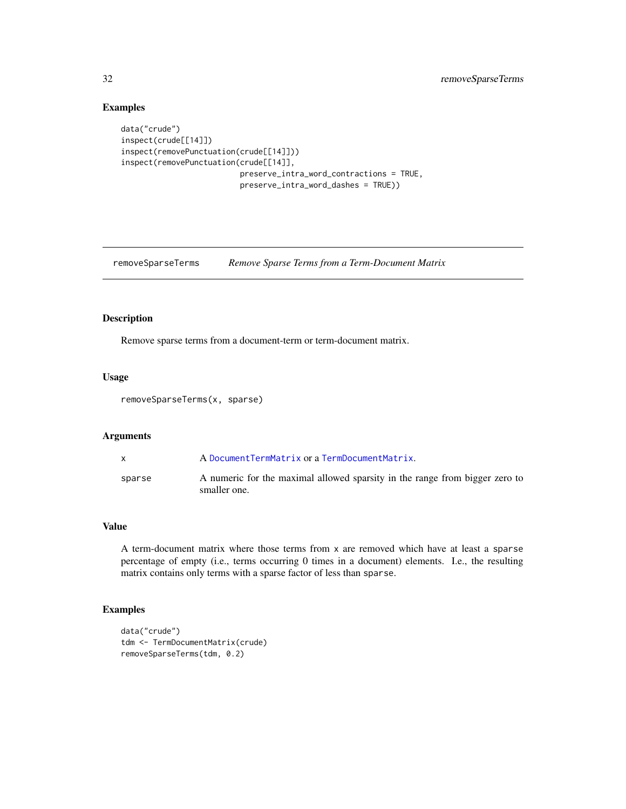### Examples

```
data("crude")
inspect(crude[[14]])
inspect(removePunctuation(crude[[14]]))
inspect(removePunctuation(crude[[14]],
                          preserve_intra_word_contractions = TRUE,
                          preserve_intra_word_dashes = TRUE))
```
removeSparseTerms *Remove Sparse Terms from a Term-Document Matrix*

#### Description

Remove sparse terms from a document-term or term-document matrix.

#### Usage

removeSparseTerms(x, sparse)

#### Arguments

|        | A Document TermMatrix or a TermDocument Matrix.                                             |
|--------|---------------------------------------------------------------------------------------------|
| sparse | A numeric for the maximal allowed sparsity in the range from bigger zero to<br>smaller one. |

### Value

A term-document matrix where those terms from x are removed which have at least a sparse percentage of empty (i.e., terms occurring 0 times in a document) elements. I.e., the resulting matrix contains only terms with a sparse factor of less than sparse.

```
data("crude")
tdm <- TermDocumentMatrix(crude)
removeSparseTerms(tdm, 0.2)
```
<span id="page-31-0"></span>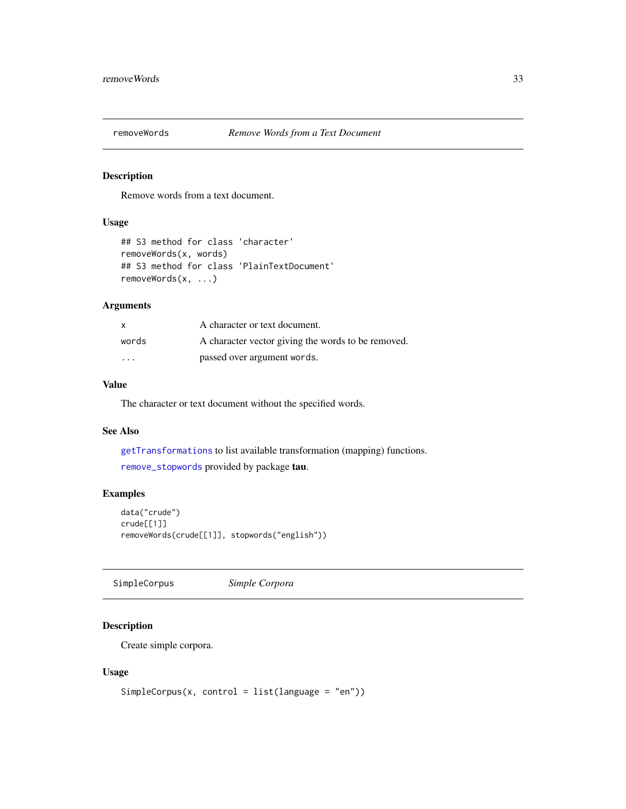<span id="page-32-2"></span><span id="page-32-0"></span>

### Description

Remove words from a text document.

### Usage

```
## S3 method for class 'character'
removeWords(x, words)
## S3 method for class 'PlainTextDocument'
removeWords(x, ...)
```
### Arguments

| X                       | A character or text document.                      |
|-------------------------|----------------------------------------------------|
| words                   | A character vector giving the words to be removed. |
| $\cdot$ $\cdot$ $\cdot$ | passed over argument words.                        |

### Value

The character or text document without the specified words.

#### See Also

[getTransformations](#page-12-1) to list available transformation (mapping) functions. [remove\\_stopwords](#page-0-0) provided by package tau.

### Examples

```
data("crude")
crude[[1]]
removeWords(crude[[1]], stopwords("english"))
```
<span id="page-32-1"></span>SimpleCorpus *Simple Corpora*

### Description

Create simple corpora.

### Usage

```
SimpleCorpus(x, control = list(language = "en"))
```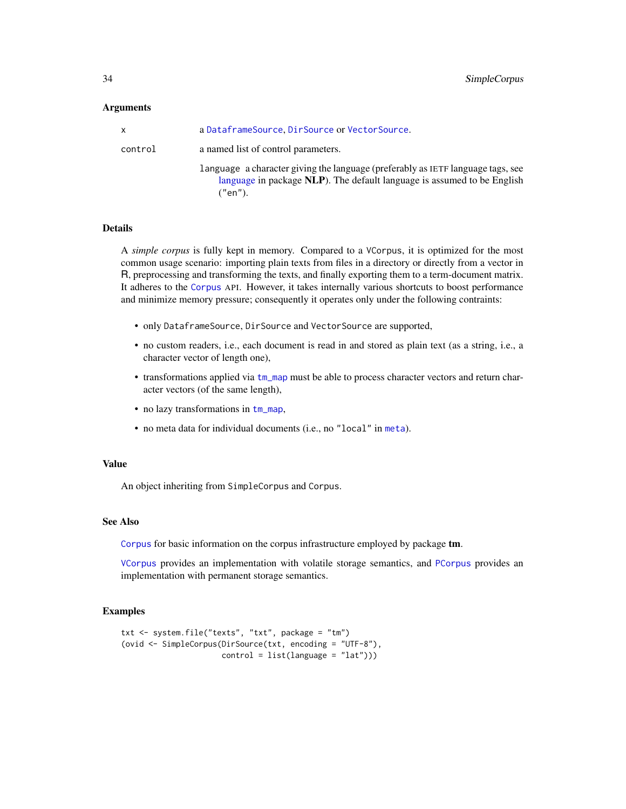#### <span id="page-33-0"></span>Arguments

| x       | a DataframeSource, DirSource or VectorSource.                                                                                                                         |
|---------|-----------------------------------------------------------------------------------------------------------------------------------------------------------------------|
| control | a named list of control parameters.                                                                                                                                   |
|         | language a character giving the language (preferably as IETF language tags, see<br>language in package NLP). The default language is assumed to be English<br>("en"). |

#### Details

A *simple corpus* is fully kept in memory. Compared to a VCorpus, it is optimized for the most common usage scenario: importing plain texts from files in a directory or directly from a vector in R, preprocessing and transforming the texts, and finally exporting them to a term-document matrix. It adheres to the [Corpus](#page-3-2) API. However, it takes internally various shortcuts to boost performance and minimize memory pressure; consequently it operates only under the following contraints:

- only DataframeSource, DirSource and VectorSource are supported,
- no custom readers, i.e., each document is read in and stored as plain text (as a string, i.e., a character vector of length one),
- transformations applied via [tm\\_map](#page-45-1) must be able to process character vectors and return character vectors (of the same length),
- no lazy transformations in  $tm_map$ ,
- no meta data for individual documents (i.e., no "local" in [meta](#page-14-1)).

#### Value

An object inheriting from SimpleCorpus and Corpus.

### See Also

[Corpus](#page-3-2) for basic information on the corpus infrastructure employed by package tm.

[VCorpus](#page-50-1) provides an implementation with volatile storage semantics, and [PCorpus](#page-16-1) provides an implementation with permanent storage semantics.

```
txt <- system.file("texts", "txt", package = "tm")
(ovid <- SimpleCorpus(DirSource(txt, encoding = "UTF-8"),
                     control = list(language = "lat"))
```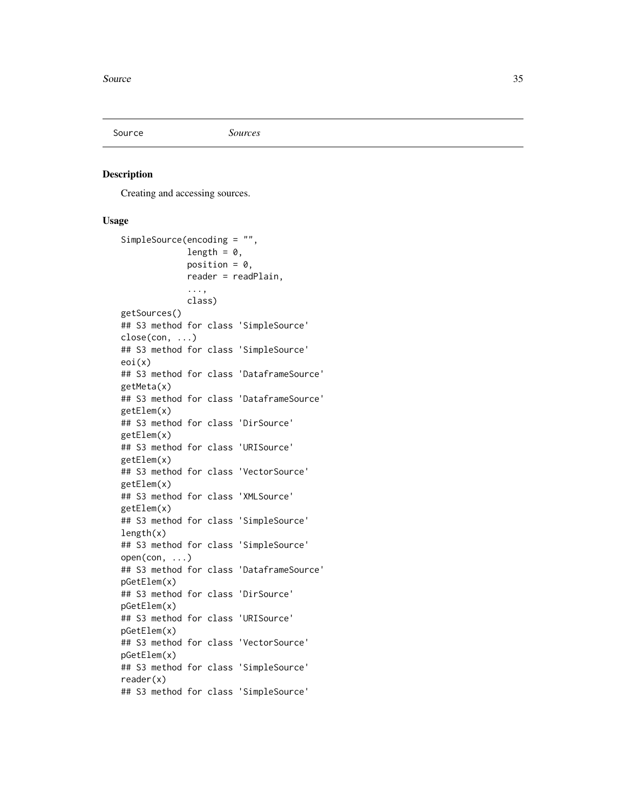<span id="page-34-2"></span><span id="page-34-0"></span>

#### <span id="page-34-1"></span>Description

Creating and accessing sources.

#### Usage

```
SimpleSource(encoding = "",
             length = 0,
             position = 0,
             reader = readPlain,
             ...,
             class)
getSources()
## S3 method for class 'SimpleSource'
close(con, ...)
## S3 method for class 'SimpleSource'
eoi(x)
## S3 method for class 'DataframeSource'
getMeta(x)
## S3 method for class 'DataframeSource'
getElem(x)
## S3 method for class 'DirSource'
getElem(x)
## S3 method for class 'URISource'
getElem(x)
## S3 method for class 'VectorSource'
getElem(x)
## S3 method for class 'XMLSource'
getElem(x)
## S3 method for class 'SimpleSource'
length(x)
## S3 method for class 'SimpleSource'
open(con, \ldots)## S3 method for class 'DataframeSource'
pGetElem(x)
## S3 method for class 'DirSource'
pGetElem(x)
## S3 method for class 'URISource'
pGetElem(x)
## S3 method for class 'VectorSource'
pGetElem(x)
## S3 method for class 'SimpleSource'
reader(x)
## S3 method for class 'SimpleSource'
```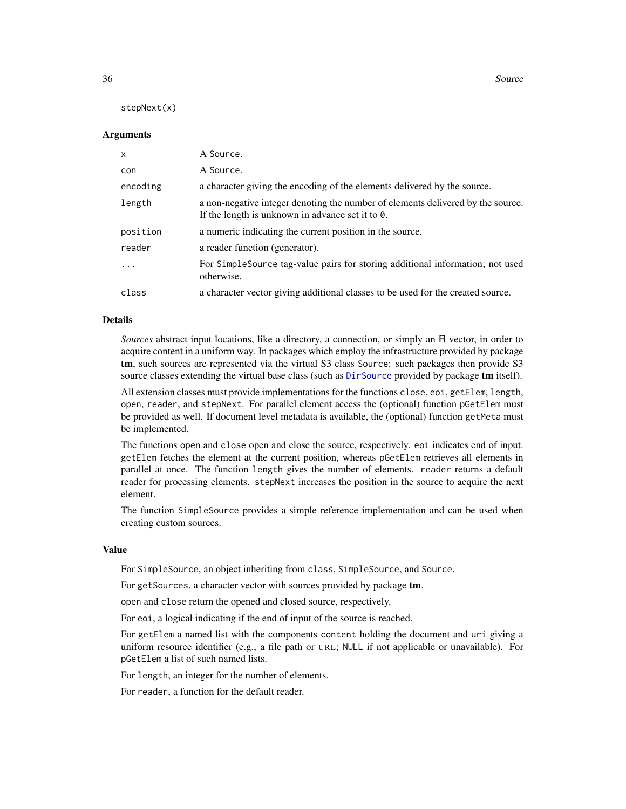<span id="page-35-0"></span>36 Source

stepNext(x)

#### Arguments

| X        | A Source.                                                                                                                                   |
|----------|---------------------------------------------------------------------------------------------------------------------------------------------|
| con      | A Source.                                                                                                                                   |
| encoding | a character giving the encoding of the elements delivered by the source.                                                                    |
| length   | a non-negative integer denoting the number of elements delivered by the source.<br>If the length is unknown in advance set it to $\theta$ . |
| position | a numeric indicating the current position in the source.                                                                                    |
| reader   | a reader function (generator).                                                                                                              |
| $\cdot$  | For Simple Source tag-value pairs for storing additional information; not used<br>otherwise.                                                |
| class    | a character vector giving additional classes to be used for the created source.                                                             |

#### Details

*Sources* abstract input locations, like a directory, a connection, or simply an R vector, in order to acquire content in a uniform way. In packages which employ the infrastructure provided by package tm, such sources are represented via the virtual S3 class Source: such packages then provide S3 source classes extending the virtual base class (such as [DirSource](#page-6-1) provided by package tm itself).

All extension classes must provide implementations for the functions close, eoi, getElem, length, open, reader, and stepNext. For parallel element access the (optional) function pGetElem must be provided as well. If document level metadata is available, the (optional) function getMeta must be implemented.

The functions open and close open and close the source, respectively. eoi indicates end of input. getElem fetches the element at the current position, whereas pGetElem retrieves all elements in parallel at once. The function length gives the number of elements. reader returns a default reader for processing elements. stepNext increases the position in the source to acquire the next element.

The function SimpleSource provides a simple reference implementation and can be used when creating custom sources.

#### Value

For SimpleSource, an object inheriting from class, SimpleSource, and Source.

For getSources, a character vector with sources provided by package tm.

open and close return the opened and closed source, respectively.

For eoi, a logical indicating if the end of input of the source is reached.

For getElem a named list with the components content holding the document and uri giving a uniform resource identifier (e.g., a file path or URL; NULL if not applicable or unavailable). For pGetElem a list of such named lists.

For length, an integer for the number of elements.

For reader, a function for the default reader.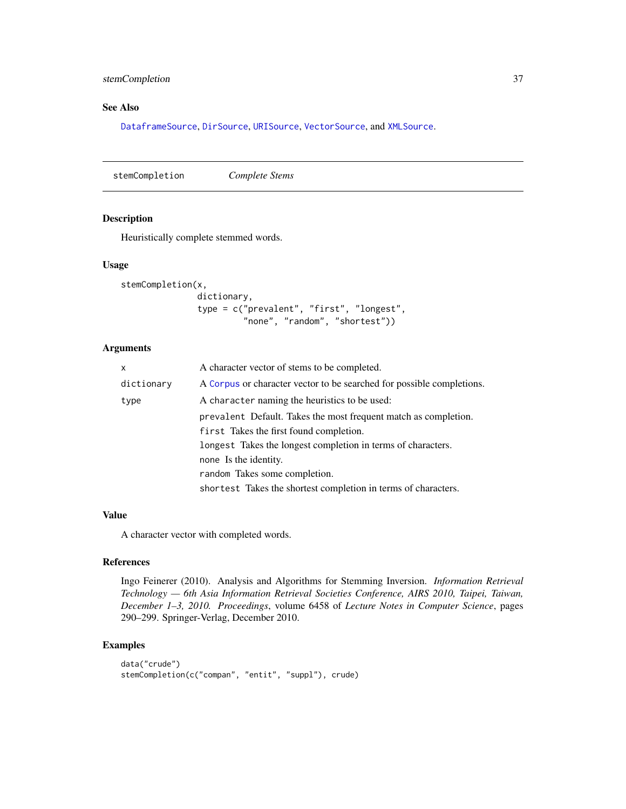### <span id="page-36-0"></span>stemCompletion 37

### See Also

[DataframeSource](#page-5-1), [DirSource](#page-6-1), [URISource](#page-49-1), [VectorSource](#page-51-1), and [XMLSource](#page-56-1).

stemCompletion *Complete Stems*

### Description

Heuristically complete stemmed words.

#### Usage

```
stemCompletion(x,
               dictionary,
               type = c("prevalent", "first", "longest",
                        "none", "random", "shortest"))
```
### Arguments

| x          | A character vector of stems to be completed.                          |  |  |
|------------|-----------------------------------------------------------------------|--|--|
| dictionary | A Corpus or character vector to be searched for possible completions. |  |  |
| type       | A character naming the heuristics to be used:                         |  |  |
|            | prevalent Default. Takes the most frequent match as completion.       |  |  |
|            | first Takes the first found completion.                               |  |  |
|            | longest Takes the longest completion in terms of characters.          |  |  |
|            | none Is the identity.                                                 |  |  |
|            | random Takes some completion.                                         |  |  |
|            | shortest Takes the shortest completion in terms of characters.        |  |  |

#### Value

A character vector with completed words.

### References

Ingo Feinerer (2010). Analysis and Algorithms for Stemming Inversion. *Information Retrieval Technology — 6th Asia Information Retrieval Societies Conference, AIRS 2010, Taipei, Taiwan, December 1–3, 2010. Proceedings*, volume 6458 of *Lecture Notes in Computer Science*, pages 290–299. Springer-Verlag, December 2010.

```
data("crude")
stemCompletion(c("compan", "entit", "suppl"), crude)
```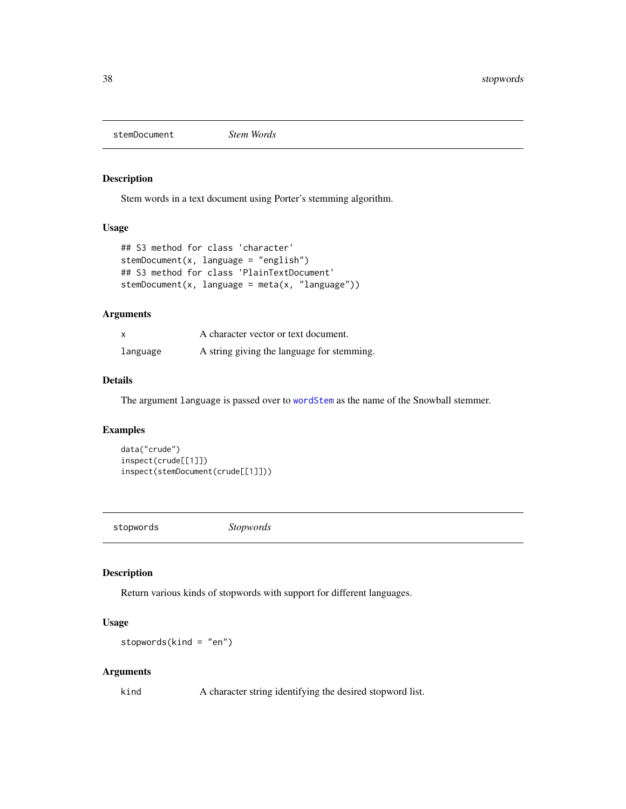<span id="page-37-1"></span><span id="page-37-0"></span>stemDocument *Stem Words*

### Description

Stem words in a text document using Porter's stemming algorithm.

### Usage

```
## S3 method for class 'character'
stemDocument(x, language = "english")## S3 method for class 'PlainTextDocument'
stemDocument(x, language = meta(x, "language"))
```
### Arguments

| $\mathsf{x}$ | A character vector or text document.       |
|--------------|--------------------------------------------|
| language     | A string giving the language for stemming. |

#### Details

The argument language is passed over to [wordStem](#page-0-0) as the name of the Snowball stemmer.

### Examples

data("crude") inspect(crude[[1]]) inspect(stemDocument(crude[[1]]))

stopwords *Stopwords*

### Description

Return various kinds of stopwords with support for different languages.

### Usage

stopwords(kind = "en")

#### Arguments

kind A character string identifying the desired stopword list.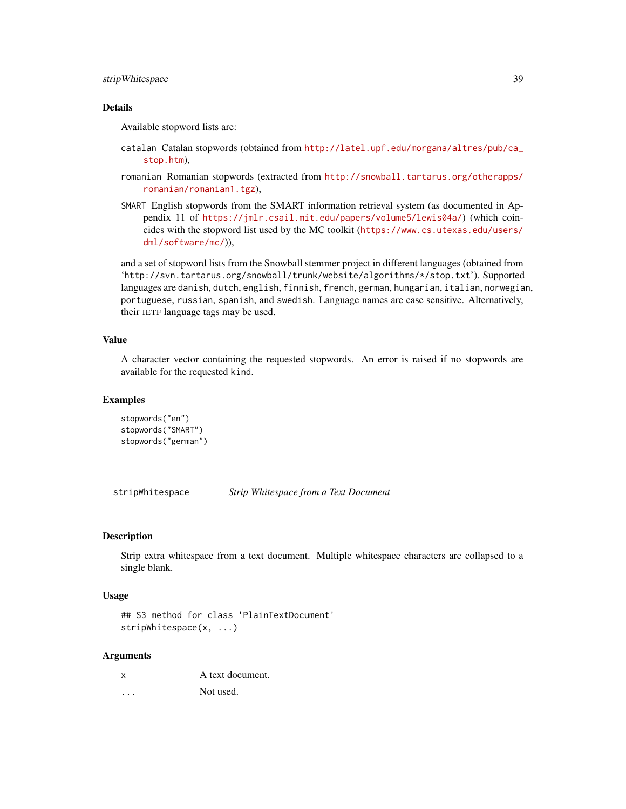### <span id="page-38-0"></span>stripWhitespace 39

### **Details**

Available stopword lists are:

- catalan Catalan stopwords (obtained from [http://latel.upf.edu/morgana/altres/pub/ca\\_](http://latel.upf.edu/morgana/altres/pub/ca_stop.htm) [stop.htm](http://latel.upf.edu/morgana/altres/pub/ca_stop.htm)),
- romanian Romanian stopwords (extracted from [http://snowball.tartarus.org/otherapps/](http://snowball.tartarus.org/otherapps/romanian/romanian1.tgz) [romanian/romanian1.tgz](http://snowball.tartarus.org/otherapps/romanian/romanian1.tgz)),
- SMART English stopwords from the SMART information retrieval system (as documented in Appendix 11 of <https://jmlr.csail.mit.edu/papers/volume5/lewis04a/>) (which coincides with the stopword list used by the MC toolkit ([https://www.cs.utexas.edu/users/](https://www.cs.utexas.edu/users/dml/software/mc/) [dml/software/mc/](https://www.cs.utexas.edu/users/dml/software/mc/))),

and a set of stopword lists from the Snowball stemmer project in different languages (obtained from 'http://svn.tartarus.org/snowball/trunk/website/algorithms/\*/stop.txt'). Supported languages are danish, dutch, english, finnish, french, german, hungarian, italian, norwegian, portuguese, russian, spanish, and swedish. Language names are case sensitive. Alternatively, their IETF language tags may be used.

#### Value

A character vector containing the requested stopwords. An error is raised if no stopwords are available for the requested kind.

### Examples

```
stopwords("en")
stopwords("SMART")
stopwords("german")
```
<span id="page-38-1"></span>stripWhitespace *Strip Whitespace from a Text Document*

#### **Description**

Strip extra whitespace from a text document. Multiple whitespace characters are collapsed to a single blank.

#### Usage

```
## S3 method for class 'PlainTextDocument'
stripWhitespace(x, ...)
```

| x | A text document. |
|---|------------------|
| . | Not used.        |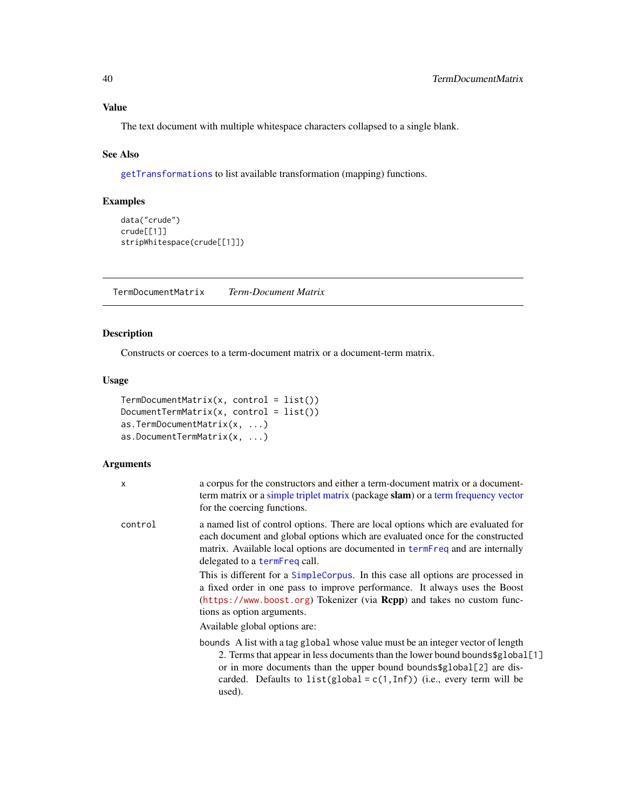### <span id="page-39-0"></span>Value

The text document with multiple whitespace characters collapsed to a single blank.

### See Also

[getTransformations](#page-12-1) to list available transformation (mapping) functions.

### Examples

```
data("crude")
crude[[1]]
stripWhitespace(crude[[1]])
```
<span id="page-39-1"></span>TermDocumentMatrix *Term-Document Matrix*

### <span id="page-39-2"></span>Description

Constructs or coerces to a term-document matrix or a document-term matrix.

#### Usage

```
TermDocumentMatrix(x, control = list())
DocumentTermMatrix(x, control = list())
as.TermDocumentMatrix(x, ...)
as.DocumentTermMatrix(x, ...)
```

| $\mathsf{x}$ | a corpus for the constructors and either a term-document matrix or a document-<br>term matrix or a simple triplet matrix (package slam) or a term frequency vector<br>for the coercing functions.                                                                                                                                                                                                                                                                                                                                                                                             |
|--------------|-----------------------------------------------------------------------------------------------------------------------------------------------------------------------------------------------------------------------------------------------------------------------------------------------------------------------------------------------------------------------------------------------------------------------------------------------------------------------------------------------------------------------------------------------------------------------------------------------|
| control      | a named list of control options. There are local options which are evaluated for<br>each document and global options which are evaluated once for the constructed<br>matrix. Available local options are documented in termFreq and are internally<br>delegated to a termFreq call.<br>This is different for a SimpleCorpus. In this case all options are processed in<br>a fixed order in one pass to improve performance. It always uses the Boost<br>(https://www.boost.org) Tokenizer (via Rcpp) and takes no custom func-<br>tions as option arguments.<br>Available global options are: |
|              | bounds A list with a tag global whose value must be an integer vector of length<br>2. Terms that appear in less documents than the lower bound bounds \$global [1]<br>or in more documents than the upper bound bounds \$global[2] are dis-<br>carded. Defaults to $list(global = c(1, Inf))$ (i.e., every term will be<br>used).                                                                                                                                                                                                                                                             |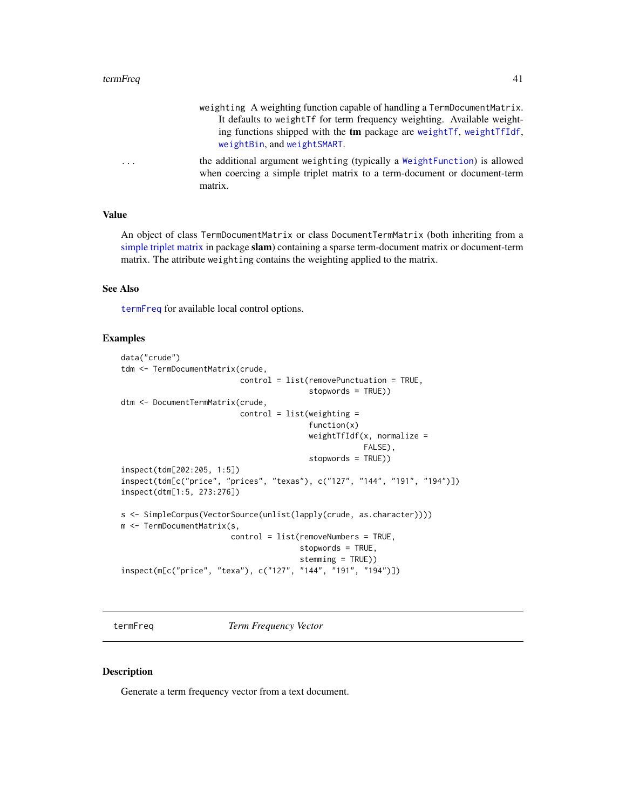- weighting A weighting function capable of handling a TermDocumentMatrix. It defaults to weightTf for term frequency weighting. Available weighting functions shipped with the tm package are [weightTf](#page-54-1), [weightTfIdf](#page-55-1), [weightBin](#page-51-2), and [weightSMART](#page-53-1).
- <span id="page-40-0"></span>... the additional argument weighting (typically a [WeightFunction](#page-52-1)) is allowed when coercing a simple triplet matrix to a term-document or document-term matrix.

#### Value

An object of class TermDocumentMatrix or class DocumentTermMatrix (both inheriting from a [simple triplet matrix](#page-0-0) in package slam) containing a sparse term-document matrix or document-term matrix. The attribute weighting contains the weighting applied to the matrix.

### See Also

[termFreq](#page-40-1) for available local control options.

#### Examples

```
data("crude")
tdm <- TermDocumentMatrix(crude,
                          control = list(removePunctuation = TRUE,
                                         stopwords = TRUE))
dtm <- DocumentTermMatrix(crude,
                          control = list(weighting =function(x)
                                         weightTfIdf(x, normalize =FALSE),
                                         stopwords = TRUE))
inspect(tdm[202:205, 1:5])
inspect(tdm[c("price", "prices", "texas"), c("127", "144", "191", "194")])
inspect(dtm[1:5, 273:276])
s <- SimpleCorpus(VectorSource(unlist(lapply(crude, as.character))))
m <- TermDocumentMatrix(s,
                        control = list(removeNumbers = TRUE,
                                       stopwords = TRUE,
                                       stemming = TRUE))
inspect(m[c("price", "texa"), c("127", "144", "191", "194")])
```
<span id="page-40-1"></span>termFreq *Term Frequency Vector*

#### Description

Generate a term frequency vector from a text document.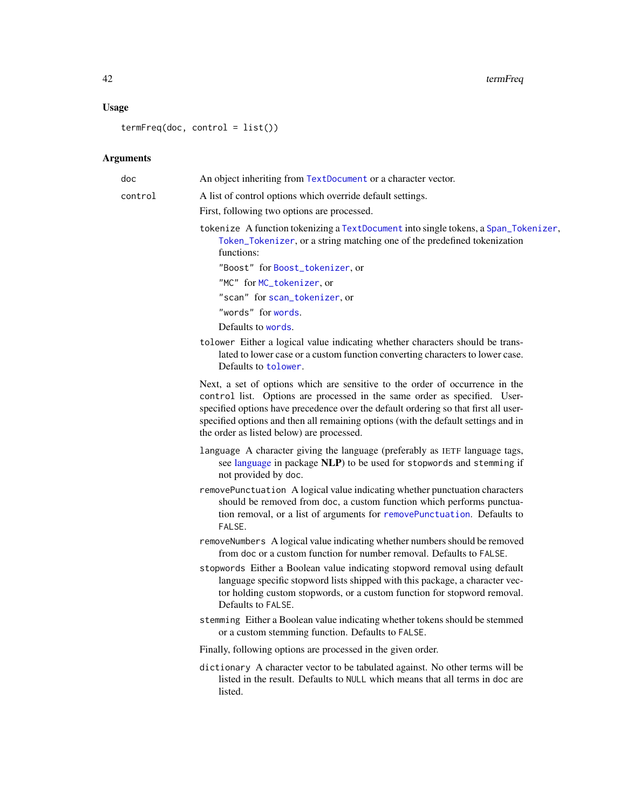<span id="page-41-0"></span>42 termFreq

## Usage

termFreq(doc, control = list())

| doc     | An object inheriting from TextDocument or a character vector.                                                                                                                                                                                                                                                                                                                       |
|---------|-------------------------------------------------------------------------------------------------------------------------------------------------------------------------------------------------------------------------------------------------------------------------------------------------------------------------------------------------------------------------------------|
| control | A list of control options which override default settings.                                                                                                                                                                                                                                                                                                                          |
|         | First, following two options are processed.                                                                                                                                                                                                                                                                                                                                         |
|         | tokenize A function tokenizing a TextDocument into single tokens, a Span_Tokenizer,<br>Token_Tokenizer, or a string matching one of the predefined tokenization<br>functions:                                                                                                                                                                                                       |
|         | "Boost" for Boost_tokenizer, or                                                                                                                                                                                                                                                                                                                                                     |
|         | "MC" for MC_tokenizer, or                                                                                                                                                                                                                                                                                                                                                           |
|         | "scan" for scan_tokenizer, or                                                                                                                                                                                                                                                                                                                                                       |
|         | "words" for words.                                                                                                                                                                                                                                                                                                                                                                  |
|         | Defaults to words.                                                                                                                                                                                                                                                                                                                                                                  |
|         | tolower Either a logical value indicating whether characters should be trans-<br>lated to lower case or a custom function converting characters to lower case.<br>Defaults to tolower.                                                                                                                                                                                              |
|         | Next, a set of options which are sensitive to the order of occurrence in the<br>control list. Options are processed in the same order as specified. User-<br>specified options have precedence over the default ordering so that first all user-<br>specified options and then all remaining options (with the default settings and in<br>the order as listed below) are processed. |
|         | language A character giving the language (preferably as IETF language tags,<br>see language in package NLP) to be used for stopwords and stemming if<br>not provided by doc.                                                                                                                                                                                                        |
|         | removePunctuation A logical value indicating whether punctuation characters<br>should be removed from doc, a custom function which performs punctua-<br>tion removal, or a list of arguments for removePunctuation. Defaults to<br>FALSE.                                                                                                                                           |
|         | removeNumbers A logical value indicating whether numbers should be removed<br>from doc or a custom function for number removal. Defaults to FALSE.                                                                                                                                                                                                                                  |
|         | stopwords Either a Boolean value indicating stopword removal using default<br>language specific stopword lists shipped with this package, a character vec-<br>tor holding custom stopwords, or a custom function for stopword removal.<br>Defaults to FALSE.                                                                                                                        |
|         | stemming Either a Boolean value indicating whether tokens should be stemmed<br>or a custom stemming function. Defaults to FALSE.                                                                                                                                                                                                                                                    |
|         | Finally, following options are processed in the given order.                                                                                                                                                                                                                                                                                                                        |
|         | dictionary A character vector to be tabulated against. No other terms will be<br>listed in the result. Defaults to NULL which means that all terms in doc are<br>listed.                                                                                                                                                                                                            |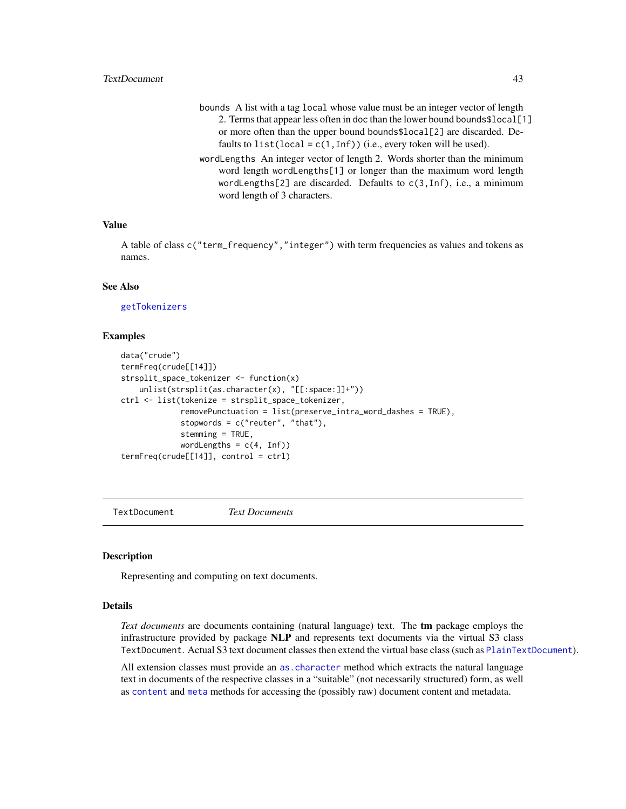### <span id="page-42-0"></span>TextDocument 43

- bounds A list with a tag local whose value must be an integer vector of length 2. Terms that appear less often in doc than the lower bound bounds\$local[1] or more often than the upper bound bounds\$local[2] are discarded. Defaults to list(local =  $c(1, Inf)$ ) (i.e., every token will be used).
- wordLengths An integer vector of length 2. Words shorter than the minimum word length wordLengths[1] or longer than the maximum word length wordLengths[2] are discarded. Defaults to c(3,Inf), i.e., a minimum word length of 3 characters.

### Value

A table of class c("term\_frequency","integer") with term frequencies as values and tokens as names.

### See Also

[getTokenizers](#page-11-1)

#### Examples

```
data("crude")
termFreq(crude[[14]])
strsplit_space_tokenizer <- function(x)
    unlist(strsplit(as.character(x), "[[:space:]]+"))
ctrl <- list(tokenize = strsplit_space_tokenizer,
             removePunctuation = list(preserve_intra_word_dashes = TRUE),
             stopwords = c("reuter", "that"),stemming = TRUE,
             wordLengths = c(4, Inf))
termFreq(crude[[14]], control = ctrl)
```
<span id="page-42-1"></span>TextDocument *Text Documents*

#### **Description**

Representing and computing on text documents.

### Details

*Text documents* are documents containing (natural language) text. The tm package employs the infrastructure provided by package NLP and represents text documents via the virtual S3 class TextDocument. Actual S3 text document classes then extend the virtual base class (such as [PlainTextDocument](#page-17-1)).

All extension classes must provide an [as.character](#page-0-0) method which extracts the natural language text in documents of the respective classes in a "suitable" (not necessarily structured) form, as well as [content](#page-0-0) and [meta](#page-14-1) methods for accessing the (possibly raw) document content and metadata.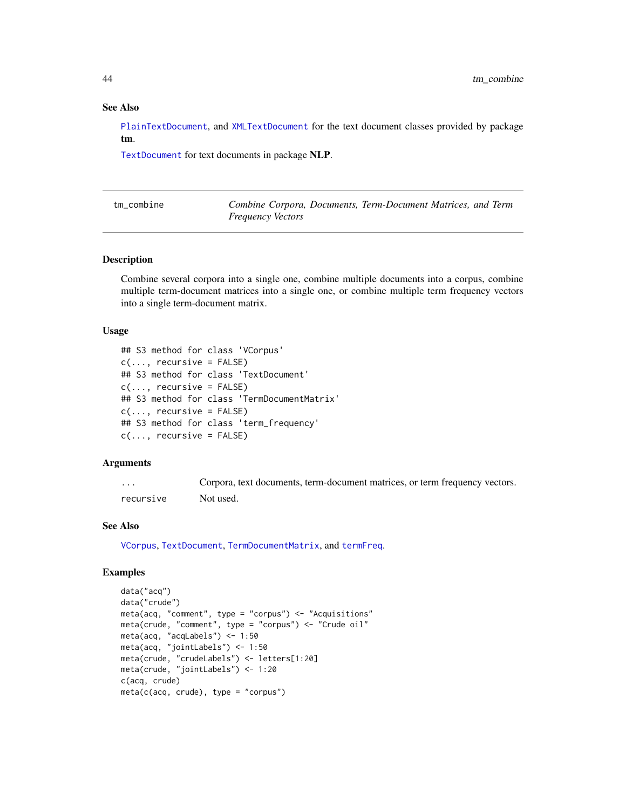#### See Also

[PlainTextDocument](#page-17-1), and [XMLTextDocument](#page-57-1) for the text document classes provided by package tm.

[TextDocument](#page-42-1) for text documents in package NLP.

| tm_combine | Combine Corpora, Documents, Term-Document Matrices, and Term |  |  |  |
|------------|--------------------------------------------------------------|--|--|--|
|            | <i>Frequency Vectors</i>                                     |  |  |  |

### Description

Combine several corpora into a single one, combine multiple documents into a corpus, combine multiple term-document matrices into a single one, or combine multiple term frequency vectors into a single term-document matrix.

#### Usage

```
## S3 method for class 'VCorpus'
c(\ldots, recursive = FALSE)
## S3 method for class 'TextDocument'
c(\ldots, recursive = FALSE)
## S3 method for class 'TermDocumentMatrix'
c(\ldots, recursive = FALSE)
## S3 method for class 'term_frequency'
c(\ldots, recursive = FALSE)
```
#### Arguments

| .         | Corpora, text documents, term-document matrices, or term frequency vectors. |
|-----------|-----------------------------------------------------------------------------|
| recursive | Not used.                                                                   |

#### See Also

[VCorpus](#page-50-1), [TextDocument](#page-42-1), [TermDocumentMatrix](#page-39-1), and [termFreq](#page-40-1).

```
data("acq")
data("crude")
meta(acq, "comment", type = "corpus") \leq "Acquisitions"
meta(crude, "comment", type = "corpus") <- "Crude oil"
meta(acq, "acqLabels") <- 1:50
meta(acq, "jointLabels") <- 1:50
meta(crude, "crudeLabels") <- letters[1:20]
meta(crude, "jointLabels") <- 1:20
c(acq, crude)
meta(c(acq, crude), type = "corpus")
```
<span id="page-43-0"></span>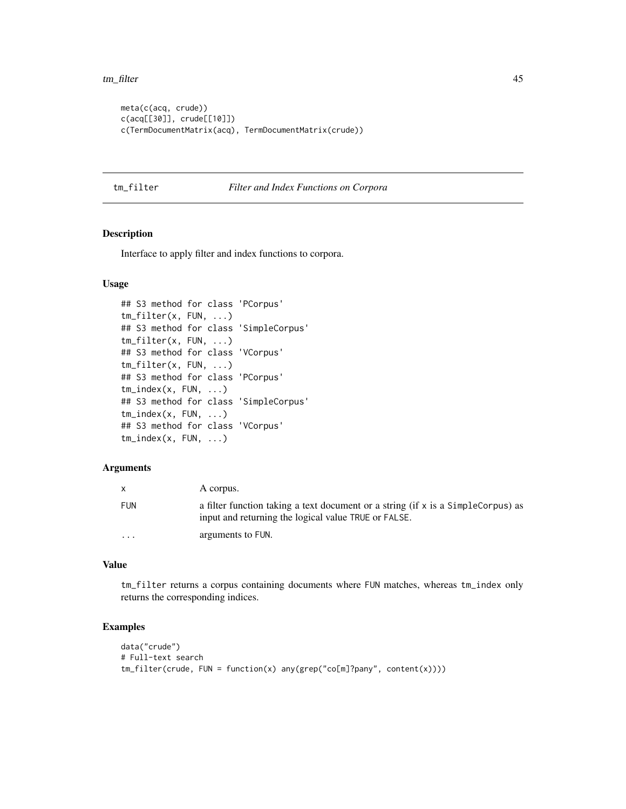<span id="page-44-0"></span>tm\_filter 45

```
meta(c(acq, crude))
c(acq[[30]], crude[[10]])
c(TermDocumentMatrix(acq), TermDocumentMatrix(crude))
```
tm\_filter *Filter and Index Functions on Corpora*

### <span id="page-44-1"></span>Description

Interface to apply filter and index functions to corpora.

### Usage

```
## S3 method for class 'PCorpus'
tm_filter(x, FUN, ...)
## S3 method for class 'SimpleCorpus'
tm_filter(x, FUN, ...)
## S3 method for class 'VCorpus'
tm_filter(x, FUN, ...)
## S3 method for class 'PCorpus'
tm_index(x, FUN, ...)
## S3 method for class 'SimpleCorpus'
tm_index(x, FUN, ...)
## S3 method for class 'VCorpus'
tm_index(x, FUN, ...)
```
#### Arguments

|                         | A corpus.                                                                                                                                |
|-------------------------|------------------------------------------------------------------------------------------------------------------------------------------|
| FUN                     | a filter function taking a text document or a string (if x is a SimpleCorpus) as<br>input and returning the logical value TRUE or FALSE. |
| $\cdot$ $\cdot$ $\cdot$ | arguments to FUN.                                                                                                                        |

### Value

tm\_filter returns a corpus containing documents where FUN matches, whereas tm\_index only returns the corresponding indices.

```
data("crude")
# Full-text search
tm_filter(crude, FUN = function(x) any(grep("co[m]?pany", content(x))))
```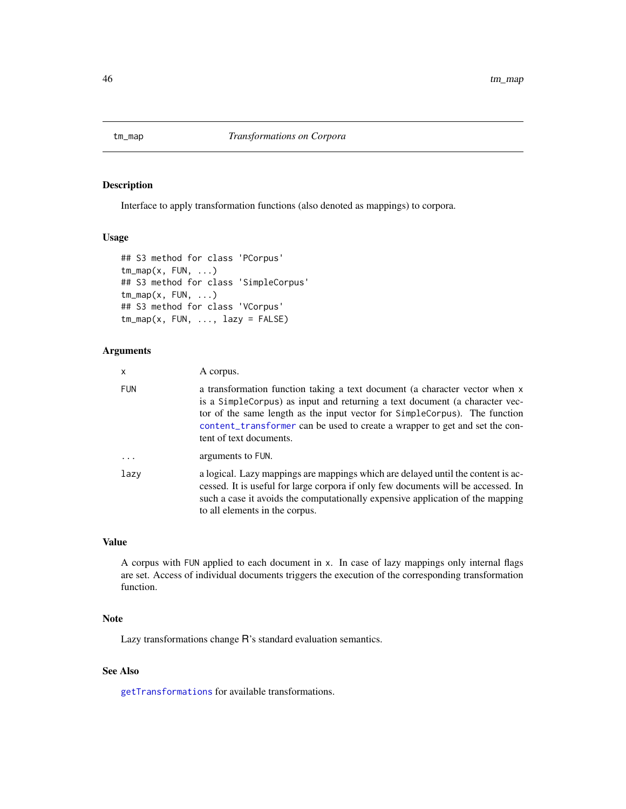<span id="page-45-1"></span><span id="page-45-0"></span>

### Description

Interface to apply transformation functions (also denoted as mappings) to corpora.

#### Usage

```
## S3 method for class 'PCorpus'
tm_map(x, FUN, ...)## S3 method for class 'SimpleCorpus'
tm_map(x, FUN, ...)## S3 method for class 'VCorpus'
tm_map(x, FUN, ..., lazy = FALSE)
```
### Arguments

| x          | A corpus.                                                                                                                                                                                                                                                                                                                                          |
|------------|----------------------------------------------------------------------------------------------------------------------------------------------------------------------------------------------------------------------------------------------------------------------------------------------------------------------------------------------------|
| <b>FUN</b> | a transformation function taking a text document (a character vector when x<br>is a SimpleCorpus) as input and returning a text document (a character vec-<br>tor of the same length as the input vector for SimpleCorpus). The function<br>content_transformer can be used to create a wrapper to get and set the con-<br>tent of text documents. |
| $\cdots$   | arguments to FUN.                                                                                                                                                                                                                                                                                                                                  |
| lazy       | a logical. Lazy mappings are mappings which are delayed until the content is ac-<br>cessed. It is useful for large corpora if only few documents will be accessed. In<br>such a case it avoids the computationally expensive application of the mapping<br>to all elements in the corpus.                                                          |

#### Value

A corpus with FUN applied to each document in x. In case of lazy mappings only internal flags are set. Access of individual documents triggers the execution of the corresponding transformation function.

### Note

Lazy transformations change R's standard evaluation semantics.

### See Also

[getTransformations](#page-12-1) for available transformations.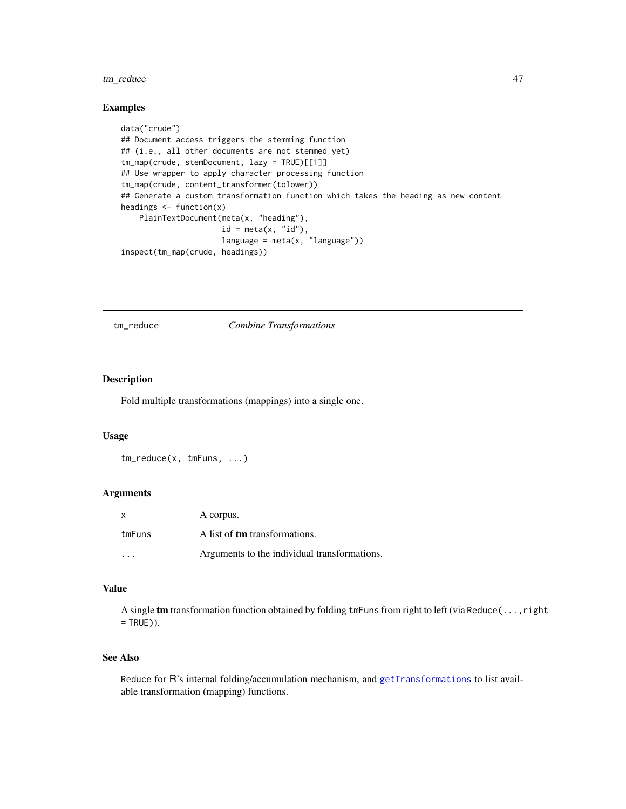### <span id="page-46-0"></span>tm\_reduce 47

#### Examples

```
data("crude")
## Document access triggers the stemming function
## (i.e., all other documents are not stemmed yet)
tm_map(crude, stemDocument, lazy = TRUE)[[1]]
## Use wrapper to apply character processing function
tm_map(crude, content_transformer(tolower))
## Generate a custom transformation function which takes the heading as new content
headings \leq function(x)
   PlainTextDocument(meta(x, "heading"),
                      id = meta(x, "id"),language = meta(x, "language"))inspect(tm_map(crude, headings))
```
tm\_reduce *Combine Transformations*

#### Description

Fold multiple transformations (mappings) into a single one.

#### Usage

```
tm_reduce(x, tmFuns, ...)
```
#### Arguments

| X         | A corpus.                                    |
|-----------|----------------------------------------------|
| tmFuns    | A list of <b>tm</b> transformations.         |
| $\ddotsc$ | Arguments to the individual transformations. |

#### Value

A single tm transformation function obtained by folding tmFuns from right to left (via Reduce(...,right  $=$  TRUE $)$ ).

#### See Also

Reduce for R's internal folding/accumulation mechanism, and [getTransformations](#page-12-1) to list available transformation (mapping) functions.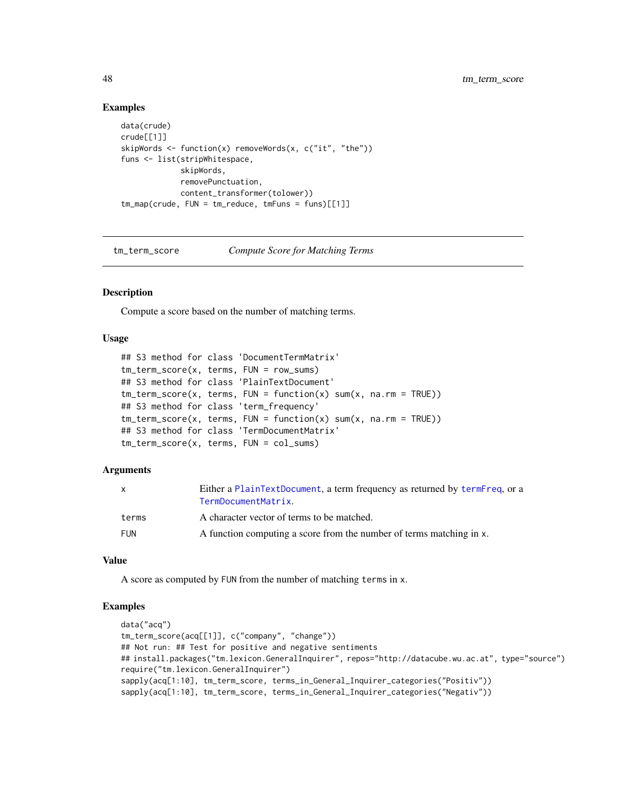#### Examples

```
data(crude)
crude[[1]]
skipWords \leq function(x) removeWords(x, c("it", "the"))
funs <- list(stripWhitespace,
             skipWords,
             removePunctuation,
             content_transformer(tolower))
tm_map(crude, FUN = tm_reduce, tmFuns = funs)[[1]]
```
tm\_term\_score *Compute Score for Matching Terms*

### Description

Compute a score based on the number of matching terms.

### Usage

```
## S3 method for class 'DocumentTermMatrix'
tm_term_score(x, terms, FUN = row_sums)
## S3 method for class 'PlainTextDocument'
tm\_term\_score(x, terms, FUN = function(x) sum(x, na.rm = TRUE))## S3 method for class 'term_frequency'
tm\_term\_score(x, terms, FUN = function(x) sum(x, na.rm = TRUE))## S3 method for class 'TermDocumentMatrix'
tm_term_score(x, terms, FUN = col_sums)
```
#### Arguments

| $\mathsf{x}$ | Either a PlainTextDocument, a term frequency as returned by termFreq, or a<br>TermDocumentMatrix. |
|--------------|---------------------------------------------------------------------------------------------------|
| terms        | A character vector of terms to be matched.                                                        |
| <b>FUN</b>   | A function computing a score from the number of terms matching in x.                              |

#### Value

A score as computed by FUN from the number of matching terms in x.

```
data("acq")
tm_term_score(acq[[1]], c("company", "change"))
## Not run: ## Test for positive and negative sentiments
## install.packages("tm.lexicon.GeneralInquirer", repos="http://datacube.wu.ac.at", type="source")
require("tm.lexicon.GeneralInquirer")
sapply(acq[1:10], tm_term_score, terms_in_General_Inquirer_categories("Positiv"))
sapply(acq[1:10], tm_term_score, terms_in_General_Inquirer_categories("Negativ"))
```
<span id="page-47-0"></span>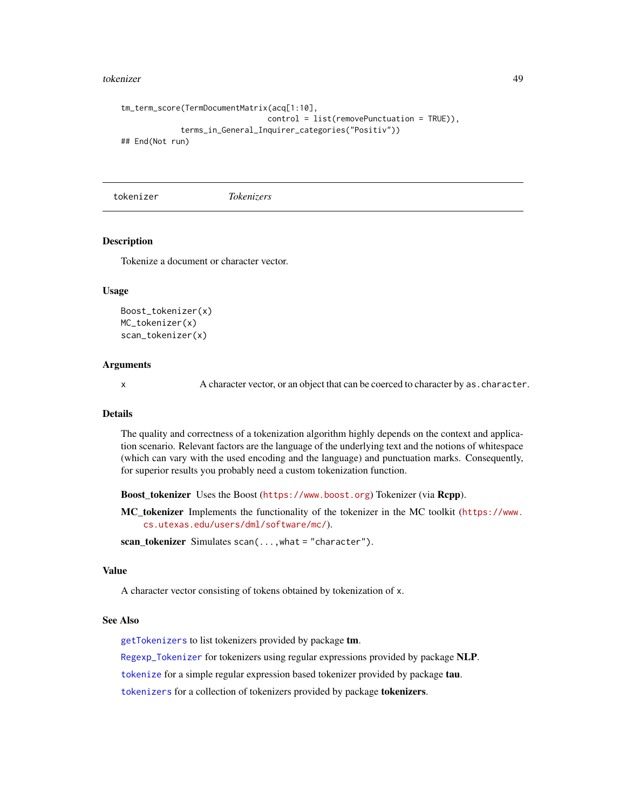#### <span id="page-48-0"></span>tokenizer 49

```
tm_term_score(TermDocumentMatrix(acq[1:10],
                                control = list(removePunctuation = TRUE)),
             terms_in_General_Inquirer_categories("Positiv"))
## End(Not run)
```
tokenizer *Tokenizers*

### <span id="page-48-1"></span>Description

Tokenize a document or character vector.

#### Usage

```
Boost_tokenizer(x)
MC_tokenizer(x)
scan_tokenizer(x)
```
### Arguments

x A character vector, or an object that can be coerced to character by as. character.

#### Details

The quality and correctness of a tokenization algorithm highly depends on the context and application scenario. Relevant factors are the language of the underlying text and the notions of whitespace (which can vary with the used encoding and the language) and punctuation marks. Consequently, for superior results you probably need a custom tokenization function.

Boost\_tokenizer Uses the Boost (<https://www.boost.org>) Tokenizer (via Rcpp).

MC tokenizer Implements the functionality of the tokenizer in the MC toolkit ([https://www.](https://www.cs.utexas.edu/users/dml/software/mc/) [cs.utexas.edu/users/dml/software/mc/](https://www.cs.utexas.edu/users/dml/software/mc/)).

scan tokenizer Simulates scan( $\dots$ , what = "character").

#### Value

A character vector consisting of tokens obtained by tokenization of x.

#### See Also

[getTokenizers](#page-11-1) to list tokenizers provided by package tm.

[Regexp\\_Tokenizer](#page-0-0) for tokenizers using regular expressions provided by package NLP.

[tokenize](#page-0-0) for a simple regular expression based tokenizer provided by package tau.

[tokenizers](#page-0-0) for a collection of tokenizers provided by package tokenizers.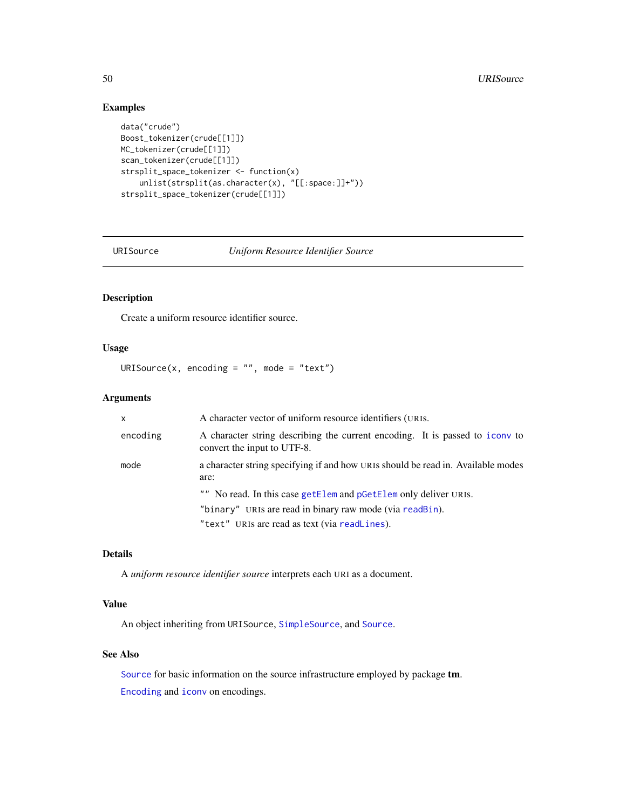### Examples

```
data("crude")
Boost_tokenizer(crude[[1]])
MC_tokenizer(crude[[1]])
scan_tokenizer(crude[[1]])
strsplit_space_tokenizer <- function(x)
    unlist(strsplit(as.character(x), "[[:space:]]+"))
strsplit_space_tokenizer(crude[[1]])
```
<span id="page-49-1"></span>

URISource *Uniform Resource Identifier Source*

### Description

Create a uniform resource identifier source.

### Usage

URISource(x, encoding =  $"$ , mode =  $"text$ )

### Arguments

| $\times$ | A character vector of uniform resource identifiers (URIS.                                                   |
|----------|-------------------------------------------------------------------------------------------------------------|
| encoding | A character string describing the current encoding. It is passed to icony to<br>convert the input to UTF-8. |
| mode     | a character string specifying if and how URIs should be read in. Available modes<br>are:                    |
|          | "" No read. In this case getElem and pGetElem only deliver URIS.                                            |
|          | "binary" URIs are read in binary raw mode (via readBin).                                                    |
|          | "text" URIs are read as text (via readLines).                                                               |

### Details

A *uniform resource identifier source* interprets each URI as a document.

#### Value

An object inheriting from URISource, [SimpleSource](#page-34-1), and [Source](#page-34-2).

### See Also

[Source](#page-34-2) for basic information on the source infrastructure employed by package tm. [Encoding](#page-0-0) and [iconv](#page-0-0) on encodings.

<span id="page-49-0"></span>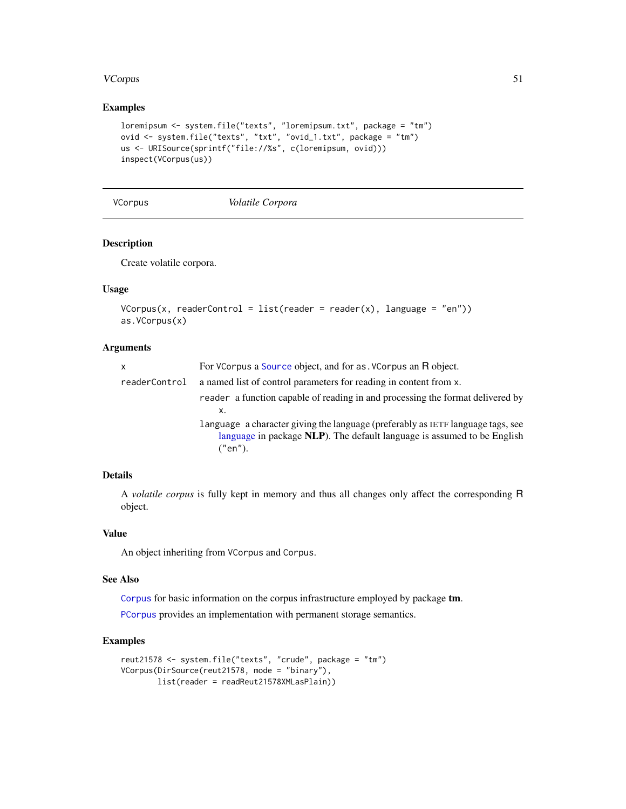#### <span id="page-50-0"></span>VCorpus 51

### Examples

```
loremipsum <- system.file("texts", "loremipsum.txt", package = "tm")
ovid <- system.file("texts", "txt", "ovid_1.txt", package = "tm")
us <- URISource(sprintf("file://%s", c(loremipsum, ovid)))
inspect(VCorpus(us))
```
<span id="page-50-1"></span>VCorpus *Volatile Corpora*

### Description

Create volatile corpora.

### Usage

```
VCorpus(x, readerControl = list(reader = reader(x), language = "en"))as.VCorpus(x)
```
#### Arguments

| x             | For VCorpus a Source object, and for as . VCorpus an R object.                                                                                                        |
|---------------|-----------------------------------------------------------------------------------------------------------------------------------------------------------------------|
| readerControl | a named list of control parameters for reading in content from x.                                                                                                     |
|               | reader a function capable of reading in and processing the format delivered by                                                                                        |
|               | x.                                                                                                                                                                    |
|               | language a character giving the language (preferably as IETF language tags, see<br>language in package NLP). The default language is assumed to be English<br>("en"). |

### Details

A *volatile corpus* is fully kept in memory and thus all changes only affect the corresponding R object.

### Value

An object inheriting from VCorpus and Corpus.

### See Also

[Corpus](#page-3-2) for basic information on the corpus infrastructure employed by package tm.

[PCorpus](#page-16-1) provides an implementation with permanent storage semantics.

```
reut21578 <- system.file("texts", "crude", package = "tm")
VCorpus(DirSource(reut21578, mode = "binary"),
       list(reader = readReut21578XMLasPlain))
```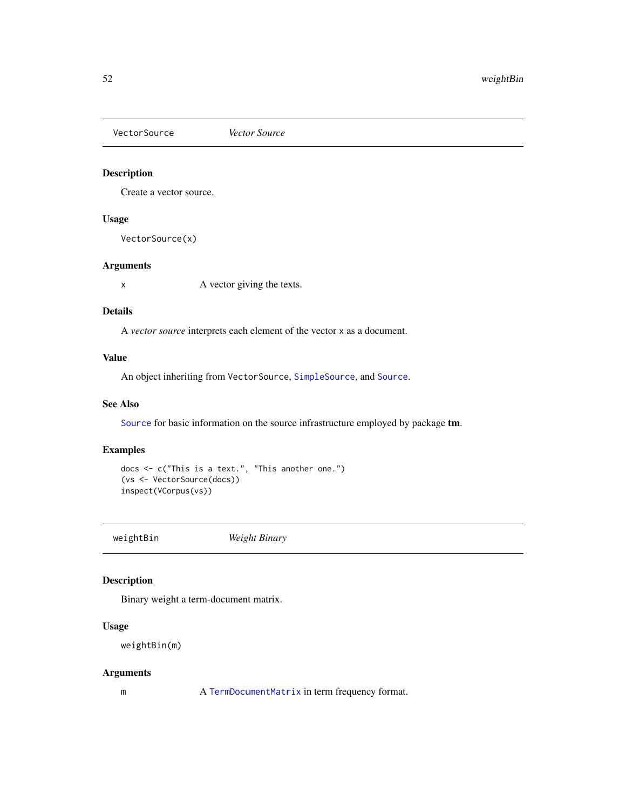<span id="page-51-1"></span><span id="page-51-0"></span>VectorSource *Vector Source*

### Description

Create a vector source.

### Usage

VectorSource(x)

#### Arguments

x A vector giving the texts.

### Details

A *vector source* interprets each element of the vector x as a document.

### Value

An object inheriting from VectorSource, [SimpleSource](#page-34-1), and [Source](#page-34-2).

#### See Also

[Source](#page-34-2) for basic information on the source infrastructure employed by package tm.

### Examples

```
docs <- c("This is a text.", "This another one.")
(vs <- VectorSource(docs))
inspect(VCorpus(vs))
```
<span id="page-51-2"></span>weightBin *Weight Binary*

### Description

Binary weight a term-document matrix.

#### Usage

weightBin(m)

#### Arguments

m A [TermDocumentMatrix](#page-39-1) in term frequency format.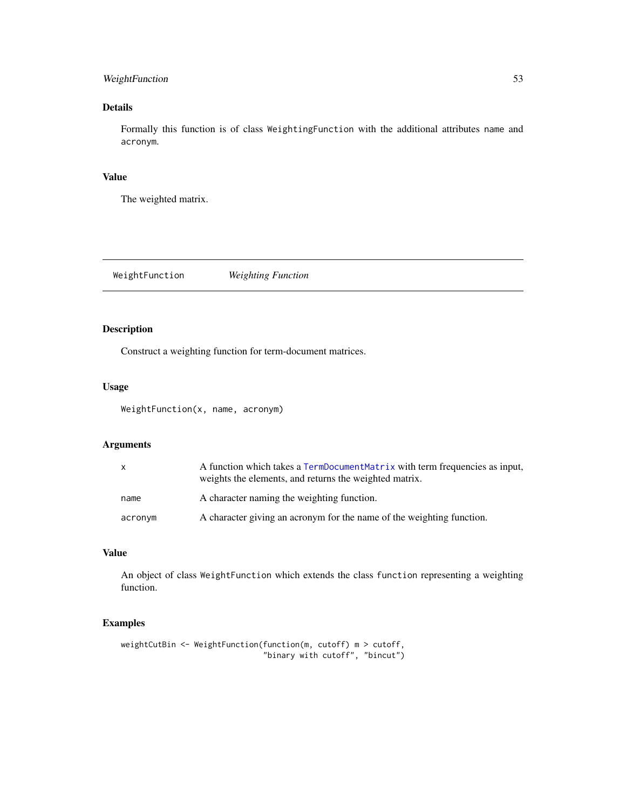### <span id="page-52-0"></span>WeightFunction 53

### Details

Formally this function is of class WeightingFunction with the additional attributes name and acronym.

### Value

The weighted matrix.

<span id="page-52-1"></span>WeightFunction *Weighting Function*

### Description

Construct a weighting function for term-document matrices.

### Usage

WeightFunction(x, name, acronym)

### Arguments

| $\mathsf{x}$ | A function which takes a TermDocumentMatrix with term frequencies as input,<br>weights the elements, and returns the weighted matrix. |
|--------------|---------------------------------------------------------------------------------------------------------------------------------------|
| name         | A character naming the weighting function.                                                                                            |
| acronym      | A character giving an acronym for the name of the weighting function.                                                                 |

#### Value

An object of class WeightFunction which extends the class function representing a weighting function.

```
weightCutBin <- WeightFunction(function(m, cutoff) m > cutoff,
                               "binary with cutoff", "bincut")
```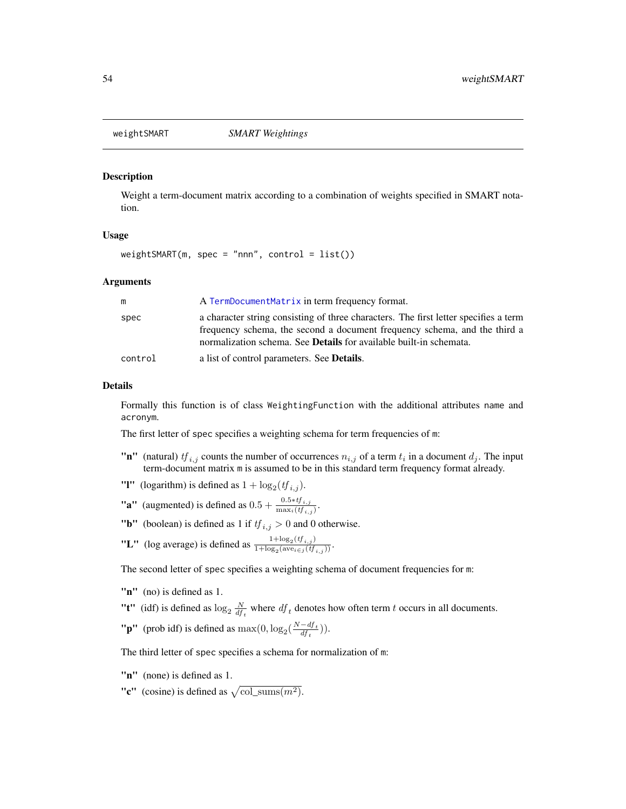<span id="page-53-1"></span><span id="page-53-0"></span>

#### Description

Weight a term-document matrix according to a combination of weights specified in SMART notation.

### Usage

 $weightSMARK(m, spec = "nnn", control = list())$ 

#### Arguments

|         | A TermDocumentMatrix in term frequency format.                                                                                                                                                                                                 |
|---------|------------------------------------------------------------------------------------------------------------------------------------------------------------------------------------------------------------------------------------------------|
| spec    | a character string consisting of three characters. The first letter specifies a term<br>frequency schema, the second a document frequency schema, and the third a<br>normalization schema. See <b>Details</b> for available built-in schemata. |
| control | a list of control parameters. See <b>Details</b> .                                                                                                                                                                                             |

#### Details

Formally this function is of class WeightingFunction with the additional attributes name and acronym.

The first letter of spec specifies a weighting schema for term frequencies of m:

- "n" (natural)  $tf_{i,j}$  counts the number of occurrences  $n_{i,j}$  of a term  $t_i$  in a document  $d_j$ . The input term-document matrix m is assumed to be in this standard term frequency format already.
- "I" (logarithm) is defined as  $1 + \log_2(t f_{i,j})$ .
- **"a"** (augmented) is defined as  $0.5 + \frac{0.5 * tf_{i,j}}{\max_i (tf_{i,j})}$ .
- "**b**" (boolean) is defined as 1 if  $tf_{i,j} > 0$  and 0 otherwise.
- "L" (log average) is defined as  $\frac{1+\log_2(t f_{i,j})}{1+\log_2(\text{ave})\leq t f}$  $\frac{1+\log_2(v_{i,j})}{1+\log_2(\text{ave}_{i\in j}(tf_{i,j}))}$ .

The second letter of spec specifies a weighting schema of document frequencies for m:

- "n" (no) is defined as 1.
- "**t**" (idf) is defined as  $\log_2 \frac{N}{df_t}$  where  $df_t$  denotes how often term t occurs in all documents.
- "**p**" (prob idf) is defined as  $\max(0, \log_2(\frac{N-df_t}{df_t}))$  $\frac{-a_{Jt}}{df_t})$ ).

The third letter of spec specifies a schema for normalization of m:

- "n" (none) is defined as 1.
- "c" (cosine) is defined as  $\sqrt{\text{col\_sums}(m^2)}$ .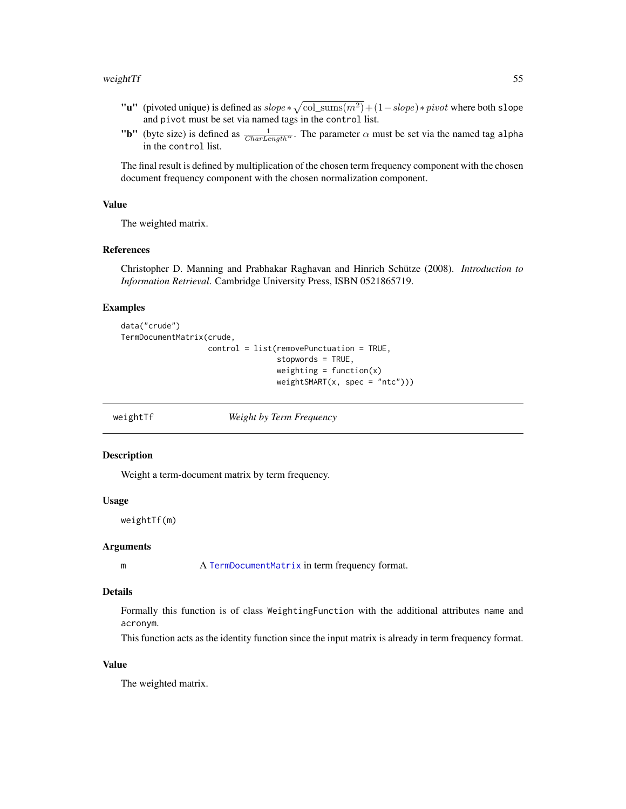#### <span id="page-54-0"></span>weight Tf 55

- "**u**" (pivoted unique) is defined as  $slope * \sqrt{col\_sums(m^2)} + (1 slope) * pivot$  where both slope and pivot must be set via named tags in the control list.
- "b" (byte size) is defined as  $\frac{1}{CharLength^{\alpha}}$ . The parameter  $\alpha$  must be set via the named tag alpha in the control list.

The final result is defined by multiplication of the chosen term frequency component with the chosen document frequency component with the chosen normalization component.

#### Value

The weighted matrix.

#### References

Christopher D. Manning and Prabhakar Raghavan and Hinrich Schütze (2008). *Introduction to Information Retrieval*. Cambridge University Press, ISBN 0521865719.

#### Examples

```
data("crude")
TermDocumentMatrix(crude,
                   control = list(removePunctuation = TRUE,
                                  stopwords = TRUE,
                                  weighting = function(x)weightSMART(x, spec = "ntc")))
```
<span id="page-54-1"></span>weightTf *Weight by Term Frequency*

#### **Description**

Weight a term-document matrix by term frequency.

#### Usage

weightTf(m)

#### Arguments

m A [TermDocumentMatrix](#page-39-1) in term frequency format.

#### Details

Formally this function is of class WeightingFunction with the additional attributes name and acronym.

This function acts as the identity function since the input matrix is already in term frequency format.

#### Value

The weighted matrix.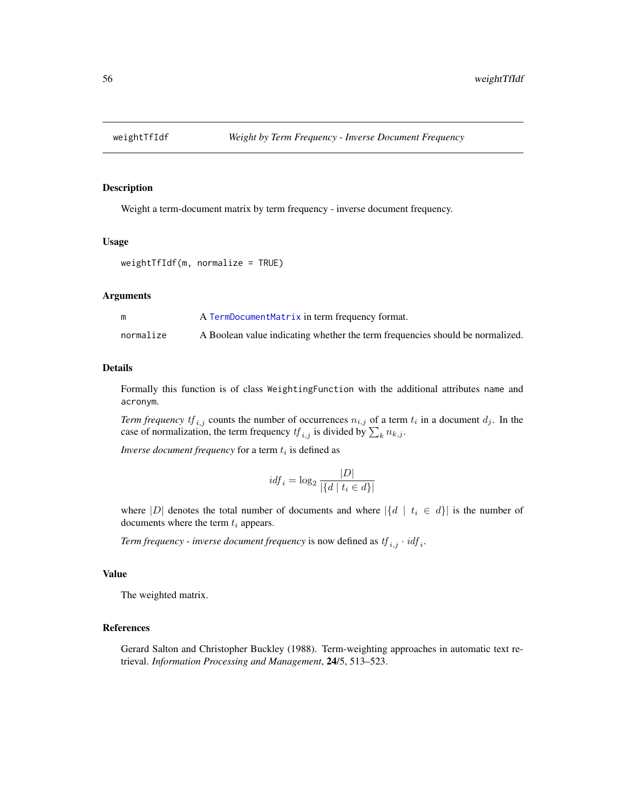<span id="page-55-1"></span><span id="page-55-0"></span>

#### Description

Weight a term-document matrix by term frequency - inverse document frequency.

#### Usage

```
weightTfIdf(m, normalize = TRUE)
```
#### Arguments

|           | A TermDocumentMatrix in term frequency format.                                |
|-----------|-------------------------------------------------------------------------------|
| normalize | A Boolean value indicating whether the term frequencies should be normalized. |

#### Details

Formally this function is of class WeightingFunction with the additional attributes name and acronym.

*Term frequency*  $tf_{i,j}$  counts the number of occurrences  $n_{i,j}$  of a term  $t_i$  in a document  $d_j$ . In the case of normalization, the term frequency  $tf_{i,j}$  is divided by  $\sum_{k} n_{k,j}$ .

*Inverse document frequency* for a term  $t_i$  is defined as

$$
idf_i = \log_2 \frac{|D|}{|\{d \mid t_i \in d\}|}
$$

where |D| denotes the total number of documents and where  $|\{d \mid t_i \in d\}|$  is the number of documents where the term  $t_i$  appears.

*Term frequency - inverse document frequency* is now defined as  $tf_{i,j} \cdot idf_i$ .

#### Value

The weighted matrix.

#### References

Gerard Salton and Christopher Buckley (1988). Term-weighting approaches in automatic text retrieval. *Information Processing and Management*, 24/5, 513–523.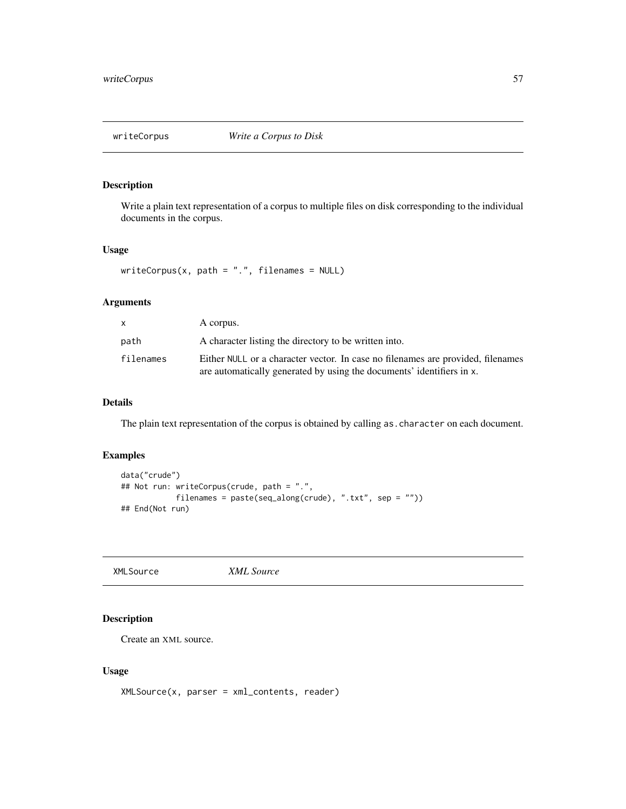<span id="page-56-0"></span>

### Description

Write a plain text representation of a corpus to multiple files on disk corresponding to the individual documents in the corpus.

#### Usage

```
writeCorpus(x, path = "."," filename = NULL)
```
### Arguments

| x.        | A corpus.                                                                                                                                                |
|-----------|----------------------------------------------------------------------------------------------------------------------------------------------------------|
| path      | A character listing the directory to be written into.                                                                                                    |
| filenames | Either NULL or a character vector. In case no filenames are provided, filenames<br>are automatically generated by using the documents' identifiers in x. |

### Details

The plain text representation of the corpus is obtained by calling as.character on each document.

### Examples

```
data("crude")
## Not run: writeCorpus(crude, path = ".",
           filenames = paste(seq_along(crude), ".txt", sep = ""))
## End(Not run)
```
<span id="page-56-1"></span>XMLSource *XML Source*

### **Description**

Create an XML source.

#### Usage

XMLSource(x, parser = xml\_contents, reader)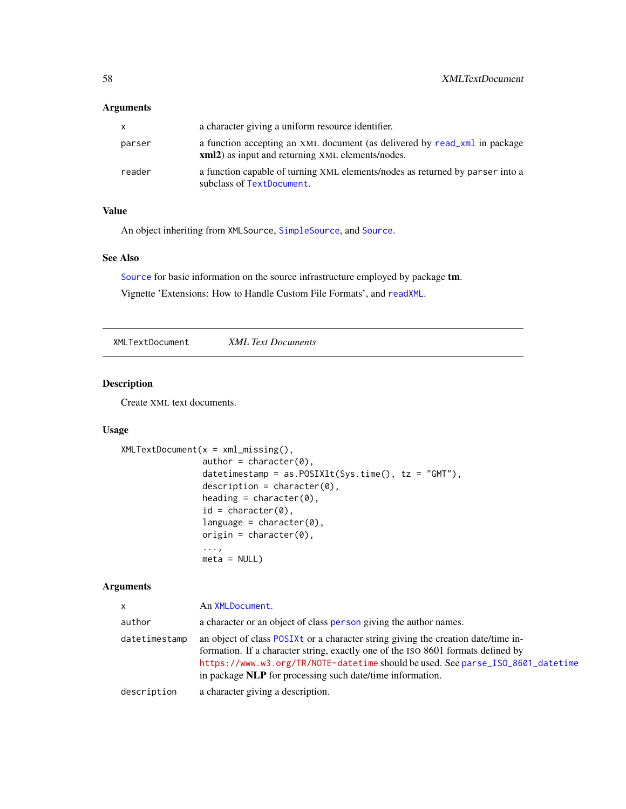### <span id="page-57-0"></span>Arguments

| x.     | a character giving a uniform resource identifier.                                                                                     |
|--------|---------------------------------------------------------------------------------------------------------------------------------------|
| parser | a function accepting an XML document (as delivered by read xml in package<br><b>xml2</b> ) as input and returning XML elements/nodes. |
| reader | a function capable of turning XML elements/nodes as returned by parser into a<br>subclass of TextDocument.                            |

### Value

An object inheriting from XMLSource, [SimpleSource](#page-34-1), and [Source](#page-34-2).

### See Also

[Source](#page-34-2) for basic information on the source infrastructure employed by package tm.

Vignette 'Extensions: How to Handle Custom File Formats', and [readXML](#page-28-1).

<span id="page-57-1"></span>XMLTextDocument *XML Text Documents*

### Description

Create XML text documents.

### Usage

```
XMLTextDocument(x = xml_missing(),author = character(0),
                datetimestamp = as.POSIXlt(Sys.time(), tz = "GMT"),description = character(0),
                heading = character(0),
                id = character(0),
                language = character(0),
                origin = character(0),...,
                meta = NULL)
```

| <b>X</b>      | An XMLDocument.                                                                                                                                                                                                                                                                                                       |
|---------------|-----------------------------------------------------------------------------------------------------------------------------------------------------------------------------------------------------------------------------------------------------------------------------------------------------------------------|
| author        | a character or an object of class person giving the author names.                                                                                                                                                                                                                                                     |
| datetimestamp | an object of class POSIXt or a character string giving the creation date/time in-<br>formation. If a character string, exactly one of the ISO 8601 formats defined by<br>https://www.w3.org/TR/NOTE-datetime should be used. See parse_ISO_8601_datetime<br>in package NLP for processing such date/time information. |
| description   | a character giving a description.                                                                                                                                                                                                                                                                                     |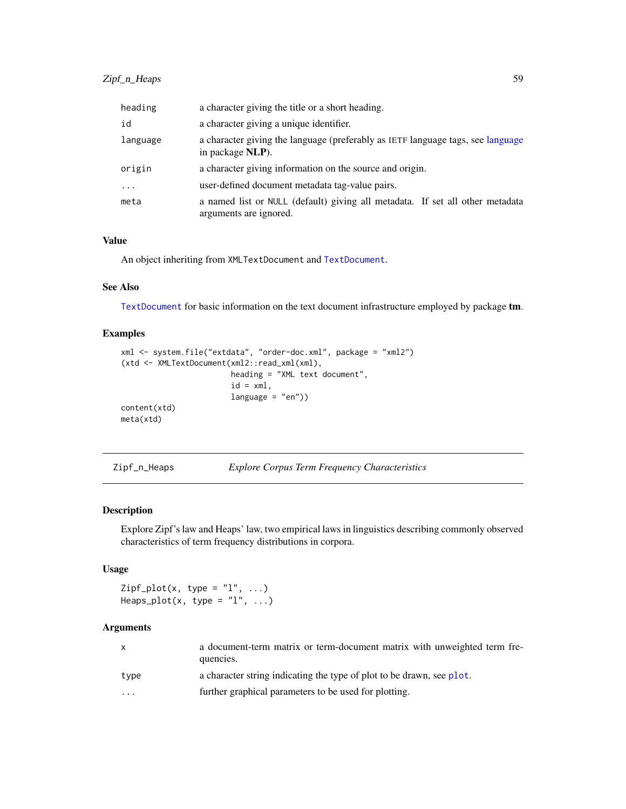<span id="page-58-0"></span>

| heading  | a character giving the title or a short heading.                                                        |
|----------|---------------------------------------------------------------------------------------------------------|
| id       | a character giving a unique identifier.                                                                 |
| language | a character giving the language (preferably as IETF language tags, see language<br>in package NLP).     |
| origin   | a character giving information on the source and origin.                                                |
| $\cdot$  | user-defined document metadata tag-value pairs.                                                         |
| meta     | a named list or NULL (default) giving all metadata. If set all other metadata<br>arguments are ignored. |

### Value

An object inheriting from XMLTextDocument and [TextDocument](#page-42-1).

### See Also

[TextDocument](#page-42-1) for basic information on the text document infrastructure employed by package tm.

### Examples

```
xml <- system.file("extdata", "order-doc.xml", package = "xml2")
(xtd <- XMLTextDocument(xml2::read_xml(xml),
                        heading = "XML text document",
                        id = xml,language = "en"))
content(xtd)
meta(xtd)
```
Zipf\_n\_Heaps *Explore Corpus Term Frequency Characteristics*

### Description

Explore Zipf's law and Heaps' law, two empirical laws in linguistics describing commonly observed characteristics of term frequency distributions in corpora.

### Usage

```
Zipf.plot(x, type = "l", ...)Heaps_plot(x, type = "l", ...)
```

| $\mathsf{x}$ | a document-term matrix or term-document matrix with unweighted term fre-<br>quencies. |
|--------------|---------------------------------------------------------------------------------------|
| type         | a character string indicating the type of plot to be drawn, see plot.                 |
| .            | further graphical parameters to be used for plotting.                                 |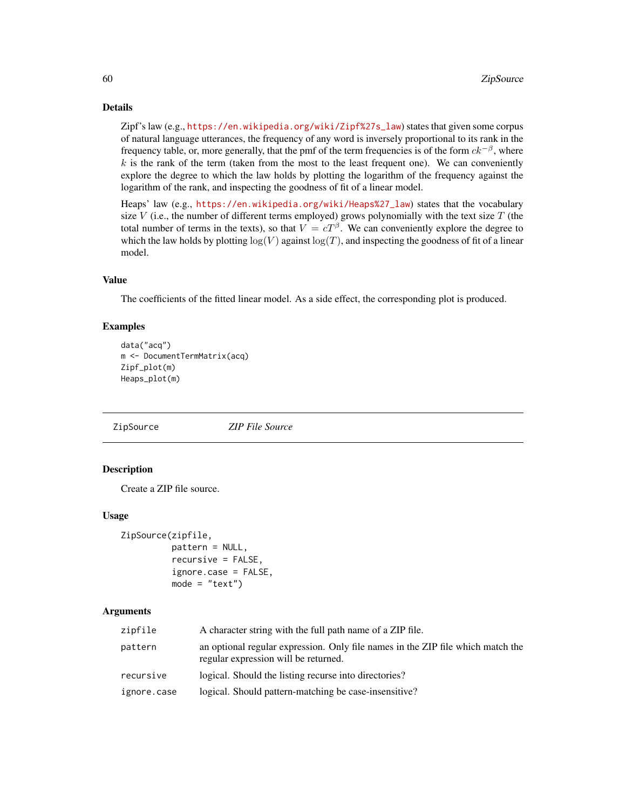### Details

Zipf's law (e.g., [https://en.wikipedia.org/wiki/Zipf%27s\\_law](https://en.wikipedia.org/wiki/Zipf%27s_law)) states that given some corpus of natural language utterances, the frequency of any word is inversely proportional to its rank in the frequency table, or, more generally, that the pmf of the term frequencies is of the form  $ck^{-\beta}$ , where  $k$  is the rank of the term (taken from the most to the least frequent one). We can conveniently explore the degree to which the law holds by plotting the logarithm of the frequency against the logarithm of the rank, and inspecting the goodness of fit of a linear model.

Heaps' law (e.g., [https://en.wikipedia.org/wiki/Heaps%27\\_law](https://en.wikipedia.org/wiki/Heaps%27_law)) states that the vocabulary size V (i.e., the number of different terms employed) grows polynomially with the text size  $T$  (the total number of terms in the texts), so that  $V = cT^{\beta}$ . We can conveniently explore the degree to which the law holds by plotting  $log(V)$  against  $log(T)$ , and inspecting the goodness of fit of a linear model.

### Value

The coefficients of the fitted linear model. As a side effect, the corresponding plot is produced.

### Examples

```
data("acq")
m <- DocumentTermMatrix(acq)
Zipf_plot(m)
Heaps_plot(m)
```
ZipSource *ZIP File Source*

### **Description**

Create a ZIP file source.

#### Usage

```
ZipSource(zipfile,
          pattern = NULL,
          recursive = FALSE,
          ignore.case = FALSE,
          mode = "text")
```

| zipfile     | A character string with the full path name of a ZIP file.                                                               |
|-------------|-------------------------------------------------------------------------------------------------------------------------|
| pattern     | an optional regular expression. Only file names in the ZIP file which match the<br>regular expression will be returned. |
| recursive   | logical. Should the listing recurse into directories?                                                                   |
| ignore.case | logical. Should pattern-matching be case-insensitive?                                                                   |

<span id="page-59-0"></span>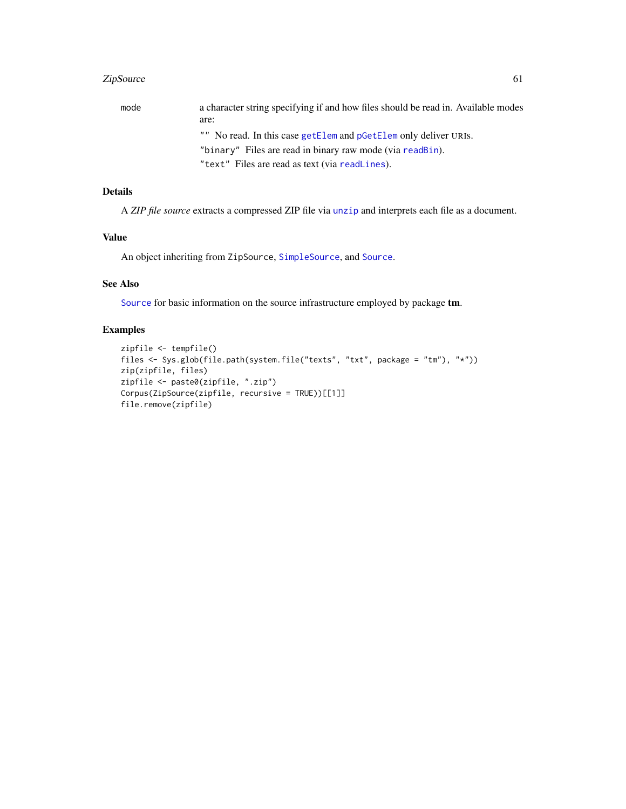### <span id="page-60-0"></span>ZipSource 61

| mode | a character string specifying if and how files should be read in. Available modes |
|------|-----------------------------------------------------------------------------------|
|      | are:                                                                              |
|      | "" No read. In this case getElem and pGetElem only deliver URIS.                  |
|      | "binary" Files are read in binary raw mode (via readBin).                         |
|      | "text" Files are read as text (via readLines).                                    |

### Details

A *ZIP file source* extracts a compressed ZIP file via [unzip](#page-0-0) and interprets each file as a document.

### Value

An object inheriting from ZipSource, [SimpleSource](#page-34-1), and [Source](#page-34-2).

### See Also

[Source](#page-34-2) for basic information on the source infrastructure employed by package tm.

```
zipfile <- tempfile()
files <- Sys.glob(file.path(system.file("texts", "txt", package = "tm"), "*"))
zip(zipfile, files)
zipfile <- paste0(zipfile, ".zip")
Corpus(ZipSource(zipfile, recursive = TRUE))[[1]]
file.remove(zipfile)
```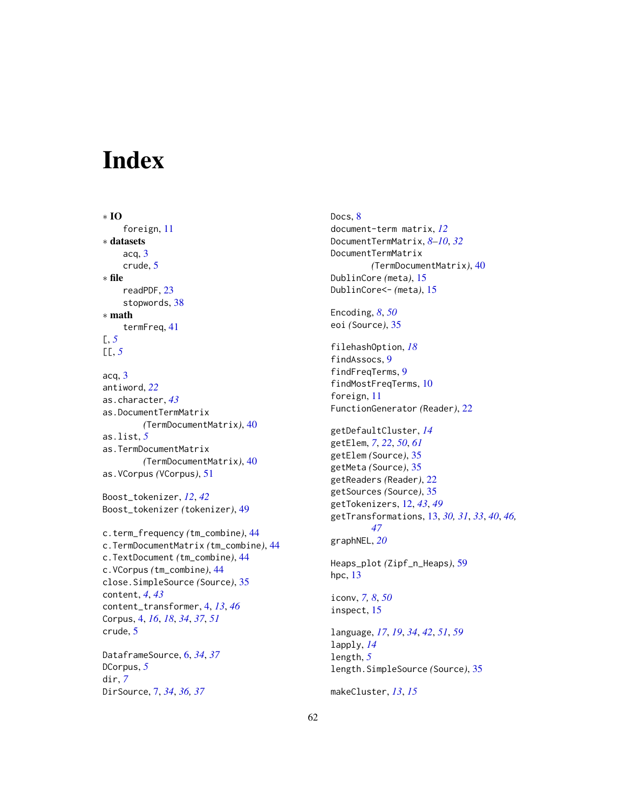# <span id="page-61-0"></span>Index

∗ IO foreign, [11](#page-10-0) ∗ datasets acq, [3](#page-2-0) crude, [5](#page-4-0) ∗ file readPDF, [23](#page-22-0) stopwords, [38](#page-37-0) ∗ math termFreq, [41](#page-40-0) [, *[5](#page-4-0)* [[, *[5](#page-4-0)* acq, [3](#page-2-0) antiword, *[22](#page-21-0)* as.character, *[43](#page-42-0)* as.DocumentTermMatrix *(*TermDocumentMatrix*)*, [40](#page-39-0) as.list, *[5](#page-4-0)* as.TermDocumentMatrix *(*TermDocumentMatrix*)*, [40](#page-39-0) as.VCorpus *(*VCorpus*)*, [51](#page-50-0) Boost\_tokenizer, *[12](#page-11-0)*, *[42](#page-41-0)* Boost\_tokenizer *(*tokenizer*)*, [49](#page-48-0) c.term\_frequency *(*tm\_combine*)*, [44](#page-43-0) c.TermDocumentMatrix *(*tm\_combine*)*, [44](#page-43-0) c.TextDocument *(*tm\_combine*)*, [44](#page-43-0) c.VCorpus *(*tm\_combine*)*, [44](#page-43-0) close.SimpleSource *(*Source*)*, [35](#page-34-0) content, *[4](#page-3-0)*, *[43](#page-42-0)* content\_transformer, [4,](#page-3-0) *[13](#page-12-0)*, *[46](#page-45-0)* Corpus, [4,](#page-3-0) *[16](#page-15-0)*, *[18](#page-17-0)*, *[34](#page-33-0)*, *[37](#page-36-0)*, *[51](#page-50-0)* crude, [5](#page-4-0) DataframeSource, [6,](#page-5-0) *[34](#page-33-0)*, *[37](#page-36-0)*

```
DCorpus, 5
dir, 7
DirSource, 7, 34, 36, 37
```
Docs, [8](#page-7-0) document-term matrix, *[12](#page-11-0)* DocumentTermMatrix, *[8](#page-7-0)[–10](#page-9-0)*, *[32](#page-31-0)* DocumentTermMatrix *(*TermDocumentMatrix*)*, [40](#page-39-0) DublinCore *(*meta*)*, [15](#page-14-0) DublinCore<- *(*meta*)*, [15](#page-14-0)

Encoding, *[8](#page-7-0)*, *[50](#page-49-0)* eoi *(*Source*)*, [35](#page-34-0)

filehashOption, *[18](#page-17-0)* findAssocs, [9](#page-8-0) findFreqTerms, [9](#page-8-0) findMostFreqTerms, [10](#page-9-0) foreign, [11](#page-10-0) FunctionGenerator *(*Reader*)*, [22](#page-21-0)

getDefaultCluster, *[14](#page-13-0)* getElem, *[7](#page-6-0)*, *[22](#page-21-0)*, *[50](#page-49-0)*, *[61](#page-60-0)* getElem *(*Source*)*, [35](#page-34-0) getMeta *(*Source*)*, [35](#page-34-0) getReaders *(*Reader*)*, [22](#page-21-0) getSources *(*Source*)*, [35](#page-34-0) getTokenizers, [12,](#page-11-0) *[43](#page-42-0)*, *[49](#page-48-0)* getTransformations, [13,](#page-12-0) *[30,](#page-29-0) [31](#page-30-0)*, *[33](#page-32-0)*, *[40](#page-39-0)*, *[46,](#page-45-0) [47](#page-46-0)* graphNEL, *[20](#page-19-0)*

Heaps\_plot *(*Zipf\_n\_Heaps*)*, [59](#page-58-0) hpc, [13](#page-12-0)

iconv, *[7,](#page-6-0) [8](#page-7-0)*, *[50](#page-49-0)* inspect, [15](#page-14-0)

language, *[17](#page-16-0)*, *[19](#page-18-0)*, *[34](#page-33-0)*, *[42](#page-41-0)*, *[51](#page-50-0)*, *[59](#page-58-0)* lapply, *[14](#page-13-0)* length, *[5](#page-4-0)* length.SimpleSource *(*Source*)*, [35](#page-34-0)

makeCluster, *[13](#page-12-0)*, *[15](#page-14-0)*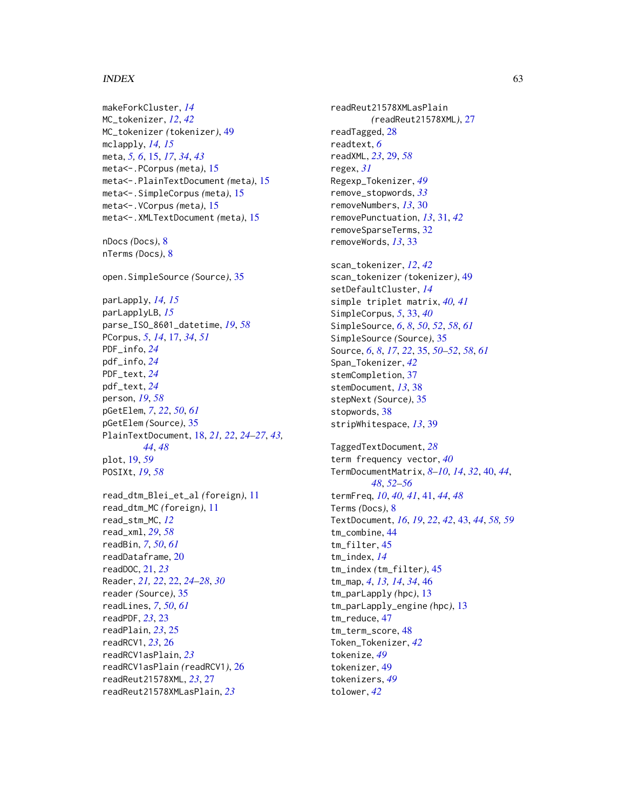#### $I<sub>N</sub>DEX$  63

makeForkCluster, *[14](#page-13-0)* MC\_tokenizer, *[12](#page-11-0)*, *[42](#page-41-0)* MC\_tokenizer *(*tokenizer*)*, [49](#page-48-0) mclapply, *[14,](#page-13-0) [15](#page-14-0)* meta, *[5,](#page-4-0) [6](#page-5-0)*, [15,](#page-14-0) *[17](#page-16-0)*, *[34](#page-33-0)*, *[43](#page-42-0)* meta<-.PCorpus *(*meta*)*, [15](#page-14-0) meta<-.PlainTextDocument *(*meta*)*, [15](#page-14-0) meta<-.SimpleCorpus *(*meta*)*, [15](#page-14-0) meta<-.VCorpus *(*meta*)*, [15](#page-14-0) meta<-.XMLTextDocument *(*meta*)*, [15](#page-14-0) nDocs *(*Docs*)*, [8](#page-7-0) nTerms *(*Docs*)*, [8](#page-7-0) open.SimpleSource *(*Source*)*, [35](#page-34-0) parLapply, *[14,](#page-13-0) [15](#page-14-0)* parLapplyLB, *[15](#page-14-0)* parse\_ISO\_8601\_datetime, *[19](#page-18-0)*, *[58](#page-57-0)* PCorpus, *[5](#page-4-0)*, *[14](#page-13-0)*, [17,](#page-16-0) *[34](#page-33-0)*, *[51](#page-50-0)* PDF\_info, *[24](#page-23-0)* pdf\_info, *[24](#page-23-0)* PDF\_text, *[24](#page-23-0)* pdf\_text, *[24](#page-23-0)* person, *[19](#page-18-0)*, *[58](#page-57-0)* pGetElem, *[7](#page-6-0)*, *[22](#page-21-0)*, *[50](#page-49-0)*, *[61](#page-60-0)* pGetElem *(*Source*)*, [35](#page-34-0) PlainTextDocument, [18,](#page-17-0) *[21,](#page-20-0) [22](#page-21-0)*, *[24–](#page-23-0)[27](#page-26-0)*, *[43,](#page-42-0) [44](#page-43-0)*, *[48](#page-47-0)* plot, [19,](#page-18-0) *[59](#page-58-0)* POSIXt, *[19](#page-18-0)*, *[58](#page-57-0)* read\_dtm\_Blei\_et\_al *(*foreign*)*, [11](#page-10-0) read\_dtm\_MC *(*foreign*)*, [11](#page-10-0) read\_stm\_MC, *[12](#page-11-0)* read\_xml, *[29](#page-28-0)*, *[58](#page-57-0)* readBin, *[7](#page-6-0)*, *[50](#page-49-0)*, *[61](#page-60-0)* readDataframe, [20](#page-19-0) readDOC, [21,](#page-20-0) *[23](#page-22-0)*

Reader, *[21,](#page-20-0) [22](#page-21-0)*, [22,](#page-21-0) *[24](#page-23-0)[–28](#page-27-0)*, *[30](#page-29-0)* reader *(*Source*)*, [35](#page-34-0) readLines, *[7](#page-6-0)*, *[50](#page-49-0)*, *[61](#page-60-0)* readPDF, *[23](#page-22-0)*, [23](#page-22-0) readPlain, *[23](#page-22-0)*, [25](#page-24-0) readRCV1, *[23](#page-22-0)*, [26](#page-25-0) readRCV1asPlain, *[23](#page-22-0)* readRCV1asPlain *(*readRCV1*)*, [26](#page-25-0) readReut21578XML, *[23](#page-22-0)*, [27](#page-26-0) readReut21578XMLasPlain, *[23](#page-22-0)*

readReut21578XMLasPlain *(*readReut21578XML*)*, [27](#page-26-0) readTagged, [28](#page-27-0) readtext, *[6](#page-5-0)* readXML, *[23](#page-22-0)*, [29,](#page-28-0) *[58](#page-57-0)* regex, *[31](#page-30-0)* Regexp\_Tokenizer, *[49](#page-48-0)* remove\_stopwords, *[33](#page-32-0)* removeNumbers, *[13](#page-12-0)*, [30](#page-29-0) removePunctuation, *[13](#page-12-0)*, [31,](#page-30-0) *[42](#page-41-0)* removeSparseTerms, [32](#page-31-0) removeWords, *[13](#page-12-0)*, [33](#page-32-0) scan\_tokenizer, *[12](#page-11-0)*, *[42](#page-41-0)* scan\_tokenizer *(*tokenizer*)*, [49](#page-48-0) setDefaultCluster, *[14](#page-13-0)* simple triplet matrix, *[40,](#page-39-0) [41](#page-40-0)* SimpleCorpus, *[5](#page-4-0)*, [33,](#page-32-0) *[40](#page-39-0)* SimpleSource, *[6](#page-5-0)*, *[8](#page-7-0)*, *[50](#page-49-0)*, *[52](#page-51-0)*, *[58](#page-57-0)*, *[61](#page-60-0)* SimpleSource *(*Source*)*, [35](#page-34-0) Source, *[6](#page-5-0)*, *[8](#page-7-0)*, *[17](#page-16-0)*, *[22](#page-21-0)*, [35,](#page-34-0) *[50](#page-49-0)[–52](#page-51-0)*, *[58](#page-57-0)*, *[61](#page-60-0)* Span\_Tokenizer, *[42](#page-41-0)* stemCompletion, [37](#page-36-0) stemDocument, *[13](#page-12-0)*, [38](#page-37-0) stepNext *(*Source*)*, [35](#page-34-0) stopwords, [38](#page-37-0) stripWhitespace, *[13](#page-12-0)*, [39](#page-38-0) TaggedTextDocument, *[28](#page-27-0)* term frequency vector, *[40](#page-39-0)* TermDocumentMatrix, *[8](#page-7-0)[–10](#page-9-0)*, *[14](#page-13-0)*, *[32](#page-31-0)*, [40,](#page-39-0) *[44](#page-43-0)*, *[48](#page-47-0)*, *[52](#page-51-0)[–56](#page-55-0)* termFreq, *[10](#page-9-0)*, *[40,](#page-39-0) [41](#page-40-0)*, [41,](#page-40-0) *[44](#page-43-0)*, *[48](#page-47-0)* Terms *(*Docs*)*, [8](#page-7-0) TextDocument, *[16](#page-15-0)*, *[19](#page-18-0)*, *[22](#page-21-0)*, *[42](#page-41-0)*, [43,](#page-42-0) *[44](#page-43-0)*, *[58,](#page-57-0) [59](#page-58-0)* tm\_combine, [44](#page-43-0) tm\_filter, [45](#page-44-0) tm\_index, *[14](#page-13-0)* tm\_index *(*tm\_filter*)*, [45](#page-44-0) tm\_map, *[4](#page-3-0)*, *[13,](#page-12-0) [14](#page-13-0)*, *[34](#page-33-0)*, [46](#page-45-0) tm\_parLapply *(*hpc*)*, [13](#page-12-0) tm\_parLapply\_engine *(*hpc*)*, [13](#page-12-0) tm\_reduce, [47](#page-46-0) tm\_term\_score, [48](#page-47-0) Token\_Tokenizer, *[42](#page-41-0)* tokenize, *[49](#page-48-0)* tokenizer, [49](#page-48-0) tokenizers, *[49](#page-48-0)* tolower, *[42](#page-41-0)*